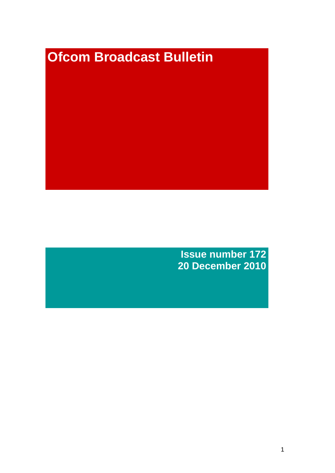# **Ofcom Broadcast Bulletin**

**Issue number 172 20 December 2010**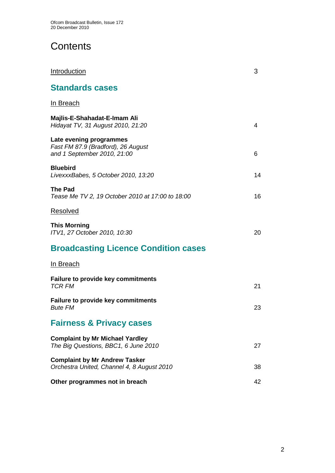# **Contents**

| <b>Introduction</b>                                                                          | 3  |
|----------------------------------------------------------------------------------------------|----|
| <b>Standards cases</b>                                                                       |    |
| <u>In Breach</u>                                                                             |    |
| Majlis-E-Shahadat-E-Imam Ali<br>Hidayat TV, 31 August 2010, 21:20                            | 4  |
| Late evening programmes<br>Fast FM 87.9 (Bradford), 26 August<br>and 1 September 2010, 21:00 | 6  |
| <b>Bluebird</b><br>LivexxxBabes, 5 October 2010, 13:20                                       | 14 |
| The Pad<br>Tease Me TV 2, 19 October 2010 at 17:00 to 18:00                                  | 16 |
| <u>Resolved</u>                                                                              |    |
| <b>This Morning</b><br>ITV1, 27 October 2010, 10:30                                          | 20 |
| <b>Broadcasting Licence Condition cases</b>                                                  |    |
| In Breach                                                                                    |    |
| <b>Failure to provide key commitments</b><br><b>TCR FM</b>                                   | 21 |
| <b>Failure to provide key commitments</b><br><b>Bute FM</b>                                  | 23 |
| <b>Fairness &amp; Privacy cases</b>                                                          |    |
| <b>Complaint by Mr Michael Yardley</b><br>The Big Questions, BBC1, 6 June 2010               | 27 |
| <b>Complaint by Mr Andrew Tasker</b><br>Orchestra United, Channel 4, 8 August 2010           | 38 |
| Other programmes not in breach                                                               | 42 |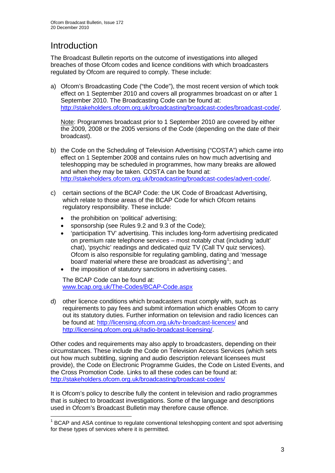# **Introduction**

The Broadcast Bulletin reports on the outcome of investigations into alleged breaches of those Ofcom codes and licence conditions with which broadcasters regulated by Ofcom are required to comply. These include:

a) Ofcom's Broadcasting Code ("the Code"), the most recent version of which took effect on 1 September 2010 and covers all programmes broadcast on or after 1 September 2010. The Broadcasting Code can be found at: [http://stakeholders.ofcom.org.uk/broadcasting/broadcast-codes/broadcast-code/.](http://stakeholders.ofcom.org.uk/broadcasting/broadcast-codes/broadcast-code/)

Note: Programmes broadcast prior to 1 September 2010 are covered by either the 2009, 2008 or the 2005 versions of the Code (depending on the date of their broadcast).

- b) the Code on the Scheduling of Television Advertising ("COSTA") which came into effect on 1 September 2008 and contains rules on how much advertising and teleshopping may be scheduled in programmes, how many breaks are allowed and when they may be taken. COSTA can be found at: [http://stakeholders.ofcom.org.uk/broadcasting/broadcast-codes/advert-code/.](http://stakeholders.ofcom.org.uk/broadcasting/broadcast-codes/advert-code/)
- c) certain sections of the BCAP Code: the UK Code of Broadcast Advertising, which relate to those areas of the BCAP Code for which Ofcom retains regulatory responsibility. These include:
	- the prohibition on 'political' advertising;
	- sponsorship (see Rules 9.2 and 9.3 of the Code);
	- 'participation TV' advertising. This includes long-form advertising predicated on premium rate telephone services – most notably chat (including 'adult' chat), 'psychic' readings and dedicated quiz TV (Call TV quiz services). Ofcom is also responsible for regulating gambling, dating and 'message board' material where these are broadcast as advertising<sup>[1](#page-2-0)</sup>; and
	- the imposition of statutory sanctions in advertising cases.

The BCAP Code can be found at: [www.bcap.org.uk/The-Codes/BCAP-Code.aspx](http://www.bcap.org.uk/The-Codes/BCAP-Code.aspx)

d) other licence conditions which broadcasters must comply with, such as requirements to pay fees and submit information which enables Ofcom to carry out its statutory duties. Further information on television and radio licences can be found at:<http://licensing.ofcom.org.uk/tv-broadcast-licences/> and [http://licensing.ofcom.org.uk/radio-broadcast-licensing/.](http://licensing.ofcom.org.uk/radio-broadcast-licensing/)

Other codes and requirements may also apply to broadcasters, depending on their circumstances. These include the Code on Television Access Services (which sets out how much subtitling, signing and audio description relevant licensees must provide), the Code on Electronic Programme Guides, the Code on Listed Events, and the Cross Promotion Code. Links to all these codes can be found at: <http://stakeholders.ofcom.org.uk/broadcasting/broadcast-codes/>

It is Ofcom's policy to describe fully the content in television and radio programmes that is subject to broadcast investigations. Some of the language and descriptions used in Ofcom's Broadcast Bulletin may therefore cause offence.

<span id="page-2-0"></span><sup>&</sup>lt;sup>1</sup> BCAP and ASA continue to regulate conventional teleshopping content and spot advertising for these types of services where it is permitted.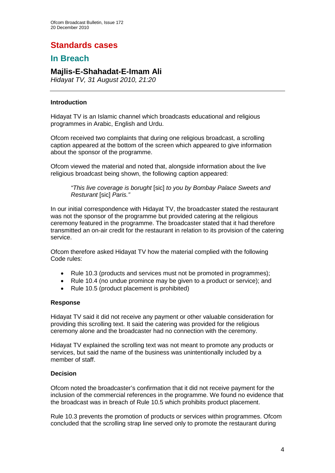# **Standards cases**

## **In Breach**

## **Majlis-E-Shahadat-E-Imam Ali**

*Hidayat TV, 31 August 2010, 21:20*

#### **Introduction**

Hidayat TV is an Islamic channel which broadcasts educational and religious programmes in Arabic, English and Urdu.

Ofcom received two complaints that during one religious broadcast, a scrolling caption appeared at the bottom of the screen which appeared to give information about the sponsor of the programme.

Ofcom viewed the material and noted that, alongside information about the live religious broadcast being shown, the following caption appeared:

*"This live coverage is borught* [sic] *to you by Bombay Palace Sweets and Resturant* [sic] *Paris."*

In our initial correspondence with Hidayat TV, the broadcaster stated the restaurant was not the sponsor of the programme but provided catering at the religious ceremony featured in the programme. The broadcaster stated that it had therefore transmitted an on-air credit for the restaurant in relation to its provision of the catering service.

Ofcom therefore asked Hidayat TV how the material complied with the following Code rules:

- Rule 10.3 (products and services must not be promoted in programmes);
- Rule 10.4 (no undue promince may be given to a product or service); and
- Rule 10.5 (product placement is prohibited)

#### **Response**

Hidayat TV said it did not receive any payment or other valuable consideration for providing this scrolling text. It said the catering was provided for the religious ceremony alone and the broadcaster had no connection with the ceremony.

Hidayat TV explained the scrolling text was not meant to promote any products or services, but said the name of the business was unintentionally included by a member of staff.

#### **Decision**

Ofcom noted the broadcaster's confirmation that it did not receive payment for the inclusion of the commercial references in the programme. We found no evidence that the broadcast was in breach of Rule 10.5 which prohibits product placement.

Rule 10.3 prevents the promotion of products or services within programmes. Ofcom concluded that the scrolling strap line served only to promote the restaurant during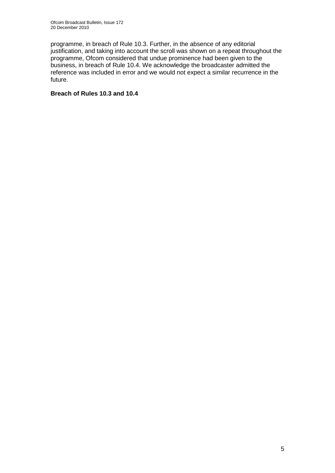programme, in breach of Rule 10.3. Further, in the absence of any editorial justification, and taking into account the scroll was shown on a repeat throughout the programme, Ofcom considered that undue prominence had been given to the business, in breach of Rule 10.4. We acknowledge the broadcaster admitted the reference was included in error and we would not expect a similar recurrence in the future.

#### **Breach of Rules 10.3 and 10.4**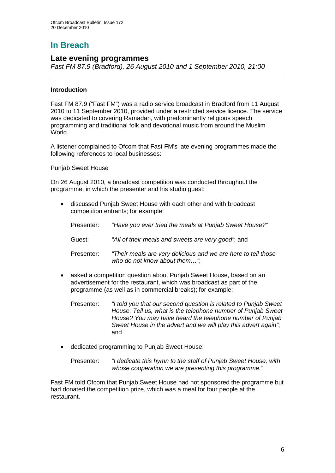# **In Breach**

#### **Late evening programmes**

*Fast FM 87.9 (Bradford), 26 August 2010 and 1 September 2010, 21:00*

#### **Introduction**

Fast FM 87.9 ("Fast FM") was a radio service broadcast in Bradford from 11 August 2010 to 11 September 2010, provided under a restricted service licence. The service was dedicated to covering Ramadan, with predominantly religious speech programming and traditional folk and devotional music from around the Muslim World.

A listener complained to Ofcom that Fast FM's late evening programmes made the following references to local businesses:

#### Punjab Sweet House

On 26 August 2010, a broadcast competition was conducted throughout the programme, in which the presenter and his studio guest:

• discussed Punjab Sweet House with each other and with broadcast competition entrants; for example:

| Presenter: | "Have you ever tried the meals at Punjab Sweet House?"                                        |
|------------|-----------------------------------------------------------------------------------------------|
| Guest:     | "All of their meals and sweets are very good", and                                            |
| Presenter: | "Their meals are very delicious and we are here to tell those<br>who do not know about them". |

- asked a competition question about Punjab Sweet House, based on an advertisement for the restaurant, which was broadcast as part of the programme (as well as in commercial breaks); for example:
	- Presenter: *"I told you that our second question is related to Punjab Sweet House. Tell us, what is the telephone number of Punjab Sweet House? You may have heard the telephone number of Punjab Sweet House in the advert and we will play this advert again"*; and
- dedicated programming to Punjab Sweet House:

Presenter: *"I dedicate this hymn to the staff of Punjab Sweet House, with whose cooperation we are presenting this programme."*

Fast FM told Ofcom that Punjab Sweet House had not sponsored the programme but had donated the competition prize, which was a meal for four people at the restaurant.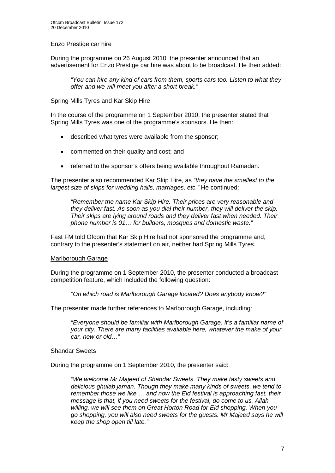#### Enzo Prestige car hire

During the programme on 26 August 2010, the presenter announced that an advertisement for Enzo Prestige car hire was about to be broadcast. He then added:

*"You can hire any kind of cars from them, sports cars too. Listen to what they offer and we will meet you after a short break."*

#### Spring Mills Tyres and Kar Skip Hire

In the course of the programme on 1 September 2010, the presenter stated that Spring Mills Tyres was one of the programme's sponsors. He then:

- described what tyres were available from the sponsor;
- commented on their quality and cost; and
- referred to the sponsor's offers being available throughout Ramadan.

The presenter also recommended Kar Skip Hire, as *"they have the smallest to the largest size of skips for wedding halls, marriages, etc."* He continued:

*"Remember the name Kar Skip Hire. Their prices are very reasonable and they deliver fast. As soon as you dial their number, they will deliver the skip. Their skips are lying around roads and they deliver fast when needed. Their phone number is 01… for builders, mosques and domestic waste."*

Fast FM told Ofcom that Kar Skip Hire had not sponsored the programme and, contrary to the presenter's statement on air, neither had Spring Mills Tyres.

#### Marlborough Garage

During the programme on 1 September 2010, the presenter conducted a broadcast competition feature, which included the following question:

*"On which road is Marlborough Garage located? Does anybody know?"*

The presenter made further references to Marlborough Garage, including:

*"Everyone should be familiar with Marlborough Garage. It's a familiar name of your city. There are many facilities available here, whatever the make of your car, new or old…"*

#### Shandar Sweets

During the programme on 1 September 2010, the presenter said:

*"We welcome Mr Majeed of Shandar Sweets. They make tasty sweets and delicious ghulab jaman. Though they make many kinds of sweets, we tend to remember those we like … and now the Eid festival is approaching fast, their message is that, if you need sweets for the festival, do come to us. Allah willing, we will see them on Great Horton Road for Eid shopping. When you go shopping, you will also need sweets for the guests. Mr Majeed says he will keep the shop open till late."*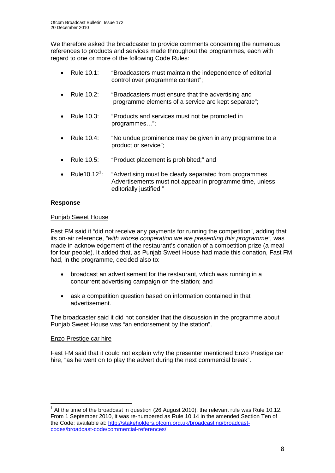We therefore asked the broadcaster to provide comments concerning the numerous references to products and services made throughout the programmes, each with regard to one or more of the following Code Rules:

- Rule 10.1: "Broadcasters must maintain the independence of editorial control over programme content";
- Rule 10.2: "Broadcasters must ensure that the advertising and programme elements of a service are kept separate";
- Rule 10.3: "Products and services must not be promoted in programmes…";
- Rule 10.4: "No undue prominence may be given in any programme to a product or service";
- Rule 10.5: "Product placement is prohibited;" and
- Rule[1](#page-7-0)0.12<sup>1</sup>: Advertisements must not appear in programme time, unless editorially justified." : "Advertising must be clearly separated from programmes.

#### **Response**

#### Punjab Sweet House

Fast FM said it "did not receive any payments for running the competition", adding that its on-air reference, *"with whose cooperation we are presenting this programme"*, was made in acknowledgement of the restaurant's donation of a competition prize (a meal for four people). It added that, as Punjab Sweet House had made this donation, Fast FM had, in the programme, decided also to:

- broadcast an advertisement for the restaurant, which was running in a concurrent advertising campaign on the station; and
- ask a competition question based on information contained in that advertisement.

The broadcaster said it did not consider that the discussion in the programme about Punjab Sweet House was "an endorsement by the station".

#### Enzo Prestige car hire

Fast FM said that it could not explain why the presenter mentioned Enzo Prestige car hire, "as he went on to play the advert during the next commercial break".

<span id="page-7-0"></span> $<sup>1</sup>$  At the time of the broadcast in question (26 August 2010), the relevant rule was Rule 10.12.</sup> From 1 September 2010, it was re-numbered as Rule 10.14 in the amended Section Ten of the Code; available at: <u>http://stakeholders.ofcom.org.uk/broadcasting/broadcast-</u> [codes/broadcast-code/commercial-references/](http://stakeholders.ofcom.org.uk/broadcasting/broadcast-codes/broadcast-code/commercial-references/)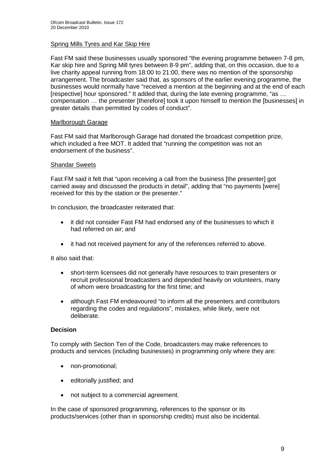#### Spring Mills Tyres and Kar Skip Hire

Fast FM said these businesses usually sponsored "the evening programme between 7-8 pm, Kar skip hire and Spring Mill tyres between 8-9 pm", adding that, on this occasion, due to a live charity appeal running from 18:00 to 21:00, there was no mention of the sponsorship arrangement. The broadcaster said that, as sponsors of the earlier evening programme, the businesses would normally have "received a mention at the beginning and at the end of each [respective] hour sponsored." It added that, during the late evening programme, "as … compensation … the presenter [therefore] took it upon himself to mention the [businesses] in greater details than permitted by codes of conduct".

#### Marlborough Garage

Fast FM said that Marlborough Garage had donated the broadcast competition prize, which included a free MOT. It added that "running the competition was not an endorsement of the business".

#### Shandar Sweets

Fast FM said it felt that "upon receiving a call from the business [the presenter] got carried away and discussed the products in detail", adding that "no payments [were] received for this by the station or the presenter."

In conclusion, the broadcaster reiterated that:

- it did not consider Fast FM had endorsed any of the businesses to which it had referred on air; and
- it had not received payment for any of the references referred to above.

It also said that:

- short-term licensees did not generally have resources to train presenters or recruit professional broadcasters and depended heavily on volunteers, many of whom were broadcasting for the first time; and
- although Fast FM endeavoured "to inform all the presenters and contributors regarding the codes and regulations", mistakes, while likely, were not deliberate.

#### **Decision**

To comply with Section Ten of the Code, broadcasters may make references to products and services (including businesses) in programming only where they are:

- non-promotional;
- editorially justified; and
- not subject to a commercial agreement.

In the case of sponsored programming, references to the sponsor or its products/services (other than in sponsorship credits) must also be incidental.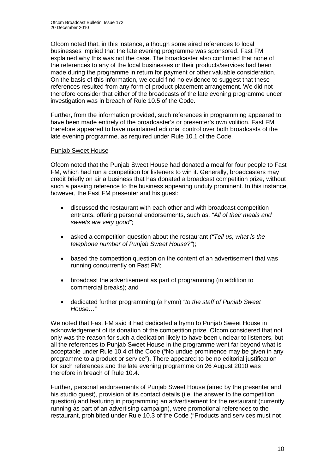Ofcom noted that, in this instance, although some aired references to local businesses implied that the late evening programme was sponsored, Fast FM explained why this was not the case. The broadcaster also confirmed that none of the references to any of the local businesses or their products/services had been made during the programme in return for payment or other valuable consideration. On the basis of this information, we could find no evidence to suggest that these references resulted from any form of product placement arrangement. We did not therefore consider that either of the broadcasts of the late evening programme under investigation was in breach of Rule 10.5 of the Code.

Further, from the information provided, such references in programming appeared to have been made entirely of the broadcaster's or presenter's own volition. Fast FM therefore appeared to have maintained editorial control over both broadcasts of the late evening programme, as required under Rule 10.1 of the Code.

#### Punjab Sweet House

Ofcom noted that the Punjab Sweet House had donated a meal for four people to Fast FM, which had run a competition for listeners to win it. Generally, broadcasters may credit briefly on air a business that has donated a broadcast competition prize, without such a passing reference to the business appearing unduly prominent. In this instance, however, the Fast FM presenter and his guest:

- discussed the restaurant with each other and with broadcast competition entrants, offering personal endorsements, such as, *"All of their meals and sweets are very good"*;
- asked a competition question about the restaurant (*"Tell us, what is the telephone number of Punjab Sweet House?"*);
- based the competition question on the content of an advertisement that was running concurrently on Fast FM;
- broadcast the advertisement as part of programming (in addition to commercial breaks); and
- dedicated further programming (a hymn) *"to the staff of Punjab Sweet House…"*

We noted that Fast FM said it had dedicated a hymn to Punjab Sweet House in acknowledgement of its donation of the competition prize. Ofcom considered that not only was the reason for such a dedication likely to have been unclear to listeners, but all the references to Punjab Sweet House in the programme went far beyond what is acceptable under Rule 10.4 of the Code ("No undue prominence may be given in any programme to a product or service"). There appeared to be no editorial justification for such references and the late evening programme on 26 August 2010 was therefore in breach of Rule 10.4.

Further, personal endorsements of Punjab Sweet House (aired by the presenter and his studio guest), provision of its contact details (i.e. the answer to the competition question) and featuring in programming an advertisement for the restaurant (currently running as part of an advertising campaign), were promotional references to the restaurant, prohibited under Rule 10.3 of the Code ("Products and services must not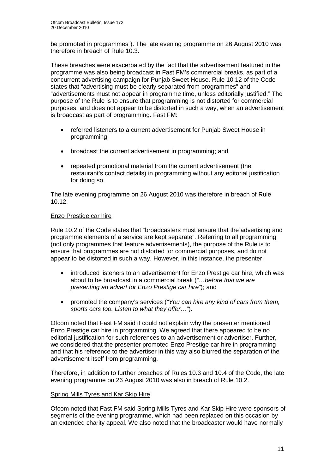be promoted in programmes"). The late evening programme on 26 August 2010 was therefore in breach of Rule 10.3.

These breaches were exacerbated by the fact that the advertisement featured in the programme was also being broadcast in Fast FM's commercial breaks, as part of a concurrent advertising campaign for Punjab Sweet House. Rule 10.12 of the Code states that "advertising must be clearly separated from programmes" and "advertisements must not appear in programme time, unless editorially justified." The purpose of the Rule is to ensure that programming is not distorted for commercial purposes, and does not appear to be distorted in such a way, when an advertisement is broadcast as part of programming. Fast FM:

- referred listeners to a current advertisement for Punjab Sweet House in programming;
- broadcast the current advertisement in programming; and
- repeated promotional material from the current advertisement (the restaurant's contact details) in programming without any editorial justification for doing so.

The late evening programme on 26 August 2010 was therefore in breach of Rule 10.12.

#### Enzo Prestige car hire

Rule 10.2 of the Code states that "broadcasters must ensure that the advertising and programme elements of a service are kept separate". Referring to all programming (not only programmes that feature advertisements), the purpose of the Rule is to ensure that programmes are not distorted for commercial purposes, and do not appear to be distorted in such a way. However, in this instance, the presenter:

- introduced listeners to an advertisement for Enzo Prestige car hire, which was about to be broadcast in a commercial break (*"…before that we are presenting an advert for Enzo Prestige car hire"*); and
- promoted the company's services (*"You can hire any kind of cars from them, sports cars too. Listen to what they offer…"*).

Ofcom noted that Fast FM said it could not explain why the presenter mentioned Enzo Prestige car hire in programming. We agreed that there appeared to be no editorial justification for such references to an advertisement or advertiser. Further, we considered that the presenter promoted Enzo Prestige car hire in programming and that his reference to the advertiser in this way also blurred the separation of the advertisement itself from programming.

Therefore, in addition to further breaches of Rules 10.3 and 10.4 of the Code, the late evening programme on 26 August 2010 was also in breach of Rule 10.2.

#### Spring Mills Tyres and Kar Skip Hire

Ofcom noted that Fast FM said Spring Mills Tyres and Kar Skip Hire were sponsors of segments of the evening programme, which had been replaced on this occasion by an extended charity appeal. We also noted that the broadcaster would have normally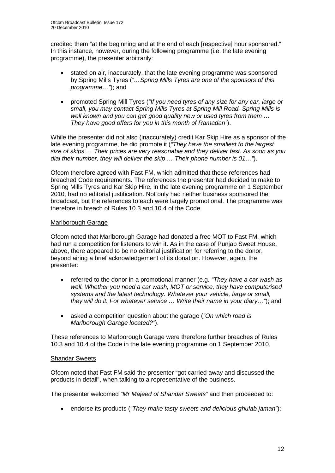credited them "at the beginning and at the end of each [respective] hour sponsored." In this instance, however, during the following programme (i.e. the late evening programme), the presenter arbitrarily:

- stated on air, inaccurately, that the late evening programme was sponsored by Spring Mills Tyres (*"…Spring Mills Tyres are one of the sponsors of this programme…"*); and
- promoted Spring Mill Tyres (*"If you need tyres of any size for any car, large or small, you may contact Spring Mills Tyres at Spring Mill Road. Spring Mills is well known and you can get good quality new or used tyres from them … They have good offers for you in this month of Ramadan"*).

While the presenter did not also (inaccurately) credit Kar Skip Hire as a sponsor of the late evening programme, he did promote it (*"They have the smallest to the largest size of skips … Their prices are very reasonable and they deliver fast. As soon as you dial their number, they will deliver the skip … Their phone number is 01…"*).

Ofcom therefore agreed with Fast FM, which admitted that these references had breached Code requirements. The references the presenter had decided to make to Spring Mills Tyres and Kar Skip Hire, in the late evening programme on 1 September 2010, had no editorial justification. Not only had neither business sponsored the broadcast, but the references to each were largely promotional. The programme was therefore in breach of Rules 10.3 and 10.4 of the Code.

#### Marlborough Garage

Ofcom noted that Marlborough Garage had donated a free MOT to Fast FM, which had run a competition for listeners to win it. As in the case of Punjab Sweet House, above, there appeared to be no editorial justification for referring to the donor, beyond airing a brief acknowledgement of its donation. However, again, the presenter:

- referred to the donor in a promotional manner (e.g. *"They have a car wash as well. Whether you need a car wash, MOT or service, they have computerised systems and the latest technology. Whatever your vehicle, large or small, they will do it. For whatever service … Write their name in your diary…"*); and
- asked a competition question about the garage (*"On which road is Marlborough Garage located?"*).

These references to Marlborough Garage were therefore further breaches of Rules 10.3 and 10.4 of the Code in the late evening programme on 1 September 2010.

#### Shandar Sweets

Ofcom noted that Fast FM said the presenter "got carried away and discussed the products in detail", when talking to a representative of the business.

The presenter welcomed *"Mr Majeed of Shandar Sweets"* and then proceeded to:

• endorse its products (*"They make tasty sweets and delicious ghulab jaman"*);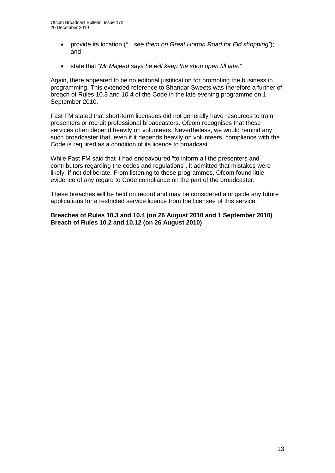- provide its location (*"…see them on Great Horton Road for Eid shopping"*); and
- state that *"Mr Majeed says he will keep the shop open till late."*

Again, there appeared to be no editorial justification for promoting the business in programming. This extended reference to Shandar Sweets was therefore a further of breach of Rules 10.3 and 10.4 of the Code in the late evening programme on 1 September 2010.

Fast FM stated that short-term licensees did not generally have resources to train presenters or recruit professional broadcasters. Ofcom recognises that these services often depend heavily on volunteers. Nevertheless, we would remind any such broadcaster that, even if it depends heavily on volunteers, compliance with the Code is required as a condition of its licence to broadcast.

While Fast FM said that it had endeavoured "to inform all the presenters and contributors regarding the codes and regulations", it admitted that mistakes were likely, if not deliberate. From listening to these programmes, Ofcom found little evidence of any regard to Code compliance on the part of the broadcaster.

These breaches will be held on record and may be considered alongside any future applications for a restricted service licence from the licensee of this service.

**Breaches of Rules 10.3 and 10.4 (on 26 August 2010 and 1 September 2010) Breach of Rules 10.2 and 10.12 (on 26 August 2010)**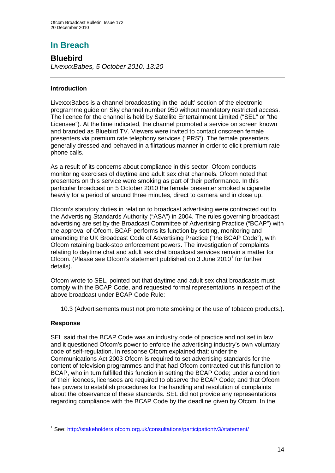# **In Breach**

## **Bluebird**

*LivexxxBabes, 5 October 2010, 13:20* 

#### **Introduction**

LivexxxBabes is a channel broadcasting in the 'adult' section of the electronic programme guide on Sky channel number 950 without mandatory restricted access. The licence for the channel is held by Satellite Entertainment Limited ("SEL" or "the Licensee"). At the time indicated, the channel promoted a service on screen known and branded as Bluebird TV. Viewers were invited to contact onscreen female presenters via premium rate telephony services ("PRS"). The female presenters generally dressed and behaved in a flirtatious manner in order to elicit premium rate phone calls.

As a result of its concerns about compliance in this sector, Ofcom conducts monitoring exercises of daytime and adult sex chat channels. Ofcom noted that presenters on this service were smoking as part of their performance. In this particular broadcast on 5 October 2010 the female presenter smoked a cigarette heavily for a period of around three minutes, direct to camera and in close up.

Ofcom's statutory duties in relation to broadcast advertising were contracted out to the Advertising Standards Authority ("ASA") in 2004. The rules governing broadcast advertising are set by the Broadcast Committee of Advertising Practice ("BCAP") with the approval of Ofcom. BCAP performs its function by setting, monitoring and amending the UK Broadcast Code of Advertising Practice ("the BCAP Code"), with Ofcom retaining back-stop enforcement powers. The investigation of complaints relating to daytime chat and adult sex chat broadcast services remain a matter for Ofcom. (Please see Ofcom's statement published on 3 June  $2010<sup>1</sup>$  $2010<sup>1</sup>$  $2010<sup>1</sup>$  for further details).

Ofcom wrote to SEL, pointed out that daytime and adult sex chat broadcasts must comply with the BCAP Code, and requested formal representations in respect of the above broadcast under BCAP Code Rule:

10.3 (Advertisements must not promote smoking or the use of tobacco products.).

#### **Response**

SEL said that the BCAP Code was an industry code of practice and not set in law and it questioned Ofcom's power to enforce the advertising industry's own voluntary code of self-regulation. In response Ofcom explained that: under the Communications Act 2003 Ofcom is required to set advertising standards for the content of television programmes and that had Ofcom contracted out this function to BCAP, who in turn fulfilled this function in setting the BCAP Code; under a condition of their licences, licensees are required to observe the BCAP Code; and that Ofcom has powers to establish procedures for the handling and resolution of complaints about the observance of these standards. SEL did not provide any representations regarding compliance with the BCAP Code by the deadline given by Ofcom. In the

<span id="page-13-0"></span><sup>&</sup>lt;sup>1</sup> See: http://stakeholders.ofcom.org.uk/consultations/participationty3/statement/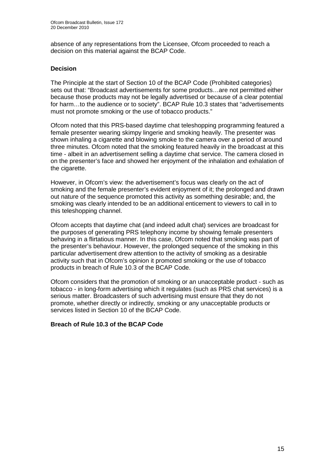absence of any representations from the Licensee, Ofcom proceeded to reach a decision on this material against the BCAP Code.

#### **Decision**

The Principle at the start of Section 10 of the BCAP Code (Prohibited categories) sets out that: "Broadcast advertisements for some products…are not permitted either because those products may not be legally advertised or because of a clear potential for harm…to the audience or to society". BCAP Rule 10.3 states that "advertisements must not promote smoking or the use of tobacco products."

Ofcom noted that this PRS-based daytime chat teleshopping programming featured a female presenter wearing skimpy lingerie and smoking heavily. The presenter was shown inhaling a cigarette and blowing smoke to the camera over a period of around three minutes. Ofcom noted that the smoking featured heavily in the broadcast at this time - albeit in an advertisement selling a daytime chat service. The camera closed in on the presenter's face and showed her enjoyment of the inhalation and exhalation of the cigarette.

However, in Ofcom's view: the advertisement's focus was clearly on the act of smoking and the female presenter's evident enjoyment of it; the prolonged and drawn out nature of the sequence promoted this activity as something desirable; and, the smoking was clearly intended to be an additional enticement to viewers to call in to this teleshopping channel.

Ofcom accepts that daytime chat (and indeed adult chat) services are broadcast for the purposes of generating PRS telephony income by showing female presenters behaving in a flirtatious manner. In this case, Ofcom noted that smoking was part of the presenter's behaviour. However, the prolonged sequence of the smoking in this particular advertisement drew attention to the activity of smoking as a desirable activity such that in Ofcom's opinion it promoted smoking or the use of tobacco products in breach of Rule 10.3 of the BCAP Code.

Ofcom considers that the promotion of smoking or an unacceptable product - such as tobacco - in long-form advertising which it regulates (such as PRS chat services) is a serious matter. Broadcasters of such advertising must ensure that they do not promote, whether directly or indirectly, smoking or any unacceptable products or services listed in Section 10 of the BCAP Code.

#### **Breach of Rule 10.3 of the BCAP Code**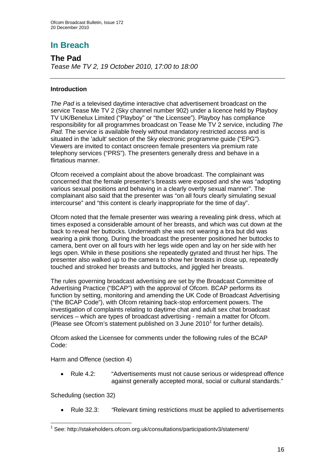# **In Breach**

**The Pad** *Tease Me TV 2, 19 October 2010, 17:00 to 18:00*

#### **Introduction**

*The Pad* is a televised daytime interactive chat advertisement broadcast on the service Tease Me TV 2 (Sky channel number 902) under a licence held by Playboy TV UK/Benelux Limited ("Playboy" or "the Licensee"). Playboy has compliance responsibility for all programmes broadcast on Tease Me TV 2 service, including *The Pad.* The service is available freely without mandatory restricted access and is situated in the 'adult' section of the Sky electronic programme guide ("EPG"). Viewers are invited to contact onscreen female presenters via premium rate telephony services ("PRS"). The presenters generally dress and behave in a flirtatious manner.

Ofcom received a complaint about the above broadcast. The complainant was concerned that the female presenter's breasts were exposed and she was "adopting various sexual positions and behaving in a clearly overtly sexual manner". The complainant also said that the presenter was "on all fours clearly simulating sexual intercourse" and "this content is clearly inappropriate for the time of day".

Ofcom noted that the female presenter was wearing a revealing pink dress, which at times exposed a considerable amount of her breasts, and which was cut down at the back to reveal her buttocks. Underneath she was not wearing a bra but did was wearing a pink thong. During the broadcast the presenter positioned her buttocks to camera, bent over on all fours with her legs wide open and lay on her side with her legs open. While in these positions she repeatedly gyrated and thrust her hips. The presenter also walked up to the camera to show her breasts in close up, repeatedly touched and stroked her breasts and buttocks, and jiggled her breasts.

The rules governing broadcast advertising are set by the Broadcast Committee of Advertising Practice ("BCAP") with the approval of Ofcom. BCAP performs its function by setting, monitoring and amending the UK Code of Broadcast Advertising ("the BCAP Code"), with Ofcom retaining back-stop enforcement powers. The investigation of complaints relating to daytime chat and adult sex chat broadcast services – which are types of broadcast advertising - remain a matter for Ofcom. (Please see Ofcom's statement published on 3 June  $2010<sup>1</sup>$  $2010<sup>1</sup>$  $2010<sup>1</sup>$  for further details).

Ofcom asked the Licensee for comments under the following rules of the BCAP Code:

Harm and Offence (section 4)

• Rule 4.2: "Advertisements must not cause serious or widespread offence against generally accepted moral, social or cultural standards."

Scheduling (section 32)

• Rule 32.3: *"*Relevant timing restrictions must be applied to advertisements

<span id="page-15-0"></span> $1$  See: http://stakeholders.ofcom.org.uk/consultations/participationtv3/statement/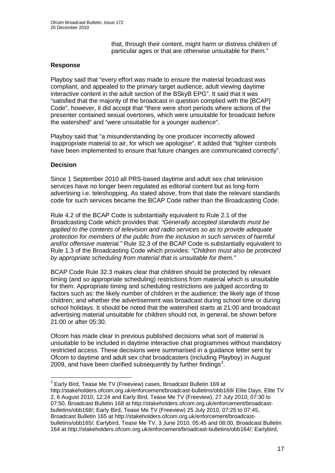that, through their content, might harm or distress children of particular ages or that are otherwise unsuitable for them."

#### **Response**

Playboy said that "every effort was made to ensure the material broadcast was compliant, and appealed to the primary target audience, adult viewing daytime interactive content in the adult section of the BSkyB EPG". It said that it was "satisfied that the majority of the broadcast in question complied with the [BCAP] Code", however, it did accept that "there were short periods where actions of the presenter contained sexual overtones, which were unsuitable for broadcast before the watershed" and "were unsuitable for a younger audience".

Playboy said that "a misunderstanding by one producer incorrectly allowed inappropriate material to air, for which we apologise". It added that "tighter controls have been implemented to ensure that future changes are communicated correctly".

#### **Decision**

Since 1 September 2010 all PRS-based daytime and adult sex chat television services have no longer been regulated as editorial content but as long-form advertising i.e. teleshopping. As stated above, from that date the relevant standards code for such services became the BCAP Code rather than the Broadcasting Code.

Rule 4.2 of the BCAP Code is substantially equivalent to Rule 2.1 of the Broadcasting Code which provides that: *"Generally accepted standards must be applied to the contents of television and radio services so as to provide adequate protection for members of the public from the inclusion in such services of harmful and/or offensive material."* Rule 32.3 of the BCAP Code is substantially equivalent to Rule 1.3 of the Broadcasting Code which provides: *"Children must also be protected by appropriate scheduling from material that is unsuitable for them."*

BCAP Code Rule 32.3 makes clear that children should be protected by relevant timing (and so appropriate scheduling) restrictions from material which is unsuitable for them. Appropriate timing and scheduling restrictions are judged according to factors such as: the likely number of children in the audience; the likely age of those children; and whether the advertisement was broadcast during school time or during school holidays. It should be noted that the watershed starts at 21:00 and broadcast advertising material unsuitable for children should not, in general, be shown before 21:00 or after 05:30.

Ofcom has made clear in previous published decisions what sort of material is unsuitable to be included in daytime interactive chat programmes without mandatory restricted access. These decisions were summarised in a guidance letter sent by Ofcom to daytime and adult sex chat broadcasters (including Playboy) in August [2](#page-16-0)009, and have been clarified subsequently by further findings<sup>2</sup>.

<span id="page-16-0"></span> $2$  Early Bird, Tease Me TV (Freeview) cases, Broadcast Bulletin 169 at

http://stakeholders.ofcom.org.uk/enforcement/broadcast-bulletins/obb169/ Elite Days, Elite TV 2, 6 August 2010, 12:24 and Early Bird, Tease Me TV (Freeview), 27 July 2010, 07:30 to 07:50, Broadcast Bulletin 168 at http://stakeholders.ofcom.org.uk/enforcement/broadcastbulletins/obb168/; Early Bird, Tease Me TV (Freeview) 25 July 2010, 07:25 to 07:45, Broadcast Bulletin 165 at http://stakeholders.ofcom.org.uk/enforcement/broadcastbulletins/obb165/; Earlybird, Tease Me TV, 3 June 2010, 05:45 and 08:00, Broadcast Bulletin 164 at http://stakeholders.ofcom.org.uk/enforcement/broadcast-bulletins/obb164/; Earlybird,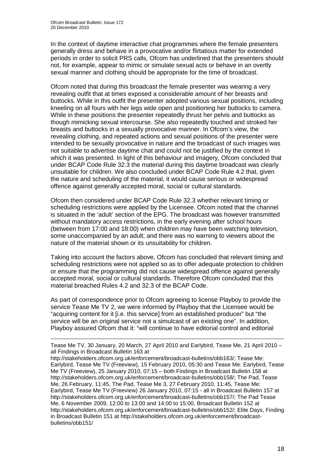In the context of daytime interactive chat programmes where the female presenters generally dress and behave in a provocative and/or flirtatious matter for extended periods in order to solicit PRS calls, Ofcom has underlined that the presenters should not, for example, appear to mimic or simulate sexual acts or behave in an overtly sexual manner and clothing should be appropriate for the time of broadcast.

Ofcom noted that during this broadcast the female presenter was wearing a very revealing outfit that at times exposed a considerable amount of her breasts and buttocks. While in this outfit the presenter adopted various sexual positions, including kneeling on all fours with her legs wide open and positioning her buttocks to camera. While in these positions the presenter repeatedly thrust her pelvis and buttocks as though mimicking sexual intercourse. She also repeatedly touched and stroked her breasts and buttocks in a sexually provocative manner. In Ofcom's view, the revealing clothing, and repeated actions and sexual positions of the presenter were intended to be sexually provocative in nature and the broadcast of such images was not suitable to advertise daytime chat and could not be justified by the context in which it was presented. In light of this behaviour and imagery, Ofcom concluded that under BCAP Code Rule 32.3 the material during this daytime broadcast was clearly unsuitable for children. We also concluded under BCAP Code Rule 4.2 that, given the nature and scheduling of the material, it would cause serious or widespread offence against generally accepted moral, social or cultural standards.

Ofcom then considered under BCAP Code Rule 32.3 whether relevant timing or scheduling restrictions were applied by the Licensee. Ofcom noted that the channel is situated in the 'adult' section of the EPG. The broadcast was however transmitted without mandatory access restrictions, in the early evening after school hours (between from 17:00 and 18:00) when children may have been watching television, some unaccompanied by an adult; and there was no warning to viewers about the nature of the material shown or its unsuitability for children.

Taking into account the factors above, Ofcom has concluded that relevant timing and scheduling restrictions were not applied so as to offer adequate protection to children or ensure that the programming did not cause widespread offence against generally accepted moral, social or cultural standards. Therefore Ofcom concluded that this material breached Rules 4.2 and 32.3 of the BCAP Code.

As part of correspondence prior to Ofcom agreeing to license Playboy to provide the service Tease Me TV 2, we were informed by Playboy that the Licensee would be "acquiring content for it [i.e. this service] from an established producer" but "the service will be an original service not a simulcast of an existing one". In addition, Playboy assured Ofcom that it: "will continue to have editorial control and editorial

http://stakeholders.ofcom.org.uk/enforcement/broadcast-bulletins/obb163/; Tease Me: Earlybird, Tease Me TV (Freeview), 15 February 2010, 05:30 and Tease Me: Earlybird, Tease Me TV (Freeview), 25 January 2010, 07:15 – both Findings in Broadcast Bulletin 158 at http://stakeholders.ofcom.org.uk/enforcement/broadcast-bulletins/obb158/; The Pad, Tease Me, 26 February, 11:45, The Pad, Tease Me 3, 27 February 2010, 11:45, Tease Me: Earlybird, Tease Me TV (Freeview) 26 January 2010, 07:15 - all in Broadcast Bulletin 157 at http://stakeholders.ofcom.org.uk/enforcement/broadcast-bulletins/obb157/; The Pad Tease Me, 6 November 2009, 12:00 to 13:00 and 14:00 to 15:00, Broadcast Bulletin 152 at http://stakeholders.ofcom.org.uk/enforcement/broadcast-bulletins/obb152/; Elite Days, Finding in Broadcast Bulletin 151 at http://stakeholders.ofcom.org.uk/enforcement/broadcastbulletins/obb151/

<sup>-</sup>Tease Me TV, 30 January, 20 March, 27 April 2010 and Earlybird, Tease Me, 21 April 2010 – all Findings in Broadcast Bulletin 163 at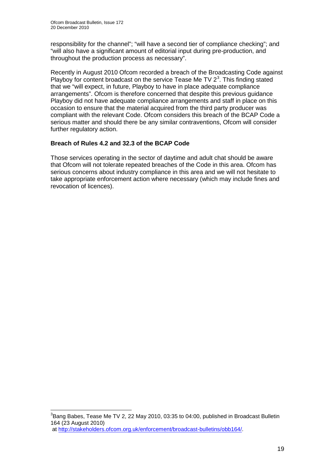responsibility for the channel"; "will have a second tier of compliance checking"; and "will also have a significant amount of editorial input during pre-production, and throughout the production process as necessary".

Recently in August 2010 Ofcom recorded a breach of the Broadcasting Code against Playboy for content broadcast on the service Tease Me TV  $2<sup>3</sup>$  $2<sup>3</sup>$  $2<sup>3</sup>$ . This finding stated that we "will expect, in future, Playboy to have in place adequate compliance arrangements". Ofcom is therefore concerned that despite this previous guidance Playboy did not have adequate compliance arrangements and staff in place on this occasion to ensure that the material acquired from the third party producer was compliant with the relevant Code. Ofcom considers this breach of the BCAP Code a serious matter and should there be any similar contraventions, Ofcom will consider further regulatory action.

#### **Breach of Rules 4.2 and 32.3 of the BCAP Code**

Those services operating in the sector of daytime and adult chat should be aware that Ofcom will not tolerate repeated breaches of the Code in this area. Ofcom has serious concerns about industry compliance in this area and we will not hesitate to take appropriate enforcement action where necessary (which may include fines and revocation of licences).

<span id="page-18-0"></span> <sup>3</sup> Bang Babes, Tease Me TV 2, 22 May 2010, 03:35 to 04:00, published in Broadcast Bulletin 164 (23 August 2010) at [http://stakeholders.ofcom.org.uk/enforcement/broadcast-bulletins/obb164/.](http://stakeholders.ofcom.org.uk/enforcement/broadcast-bulletins/obb164/)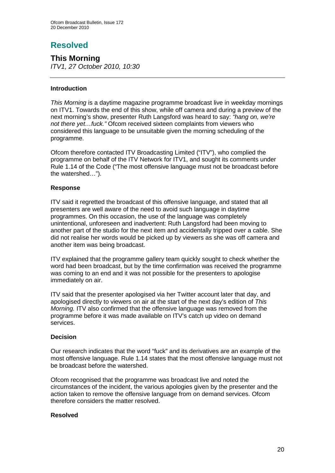# **Resolved**

**This Morning** *ITV1, 27 October 2010, 10:30*

#### **Introduction**

*This Morning* is a daytime magazine programme broadcast live in weekday mornings on ITV1. Towards the end of this show, while off camera and during a preview of the next morning's show, presenter Ruth Langsford was heard to say: *"hang on, we're not there yet…fuck."* Ofcom received sixteen complaints from viewers who considered this language to be unsuitable given the morning scheduling of the programme.

Ofcom therefore contacted ITV Broadcasting Limited ("ITV"), who complied the programme on behalf of the ITV Network for ITV1, and sought its comments under Rule 1.14 of the Code ("The most offensive language must not be broadcast before the watershed…").

#### **Response**

ITV said it regretted the broadcast of this offensive language, and stated that all presenters are well aware of the need to avoid such language in daytime programmes. On this occasion, the use of the language was completely unintentional, unforeseen and inadvertent: Ruth Langsford had been moving to another part of the studio for the next item and accidentally tripped over a cable. She did not realise her words would be picked up by viewers as she was off camera and another item was being broadcast.

ITV explained that the programme gallery team quickly sought to check whether the word had been broadcast, but by the time confirmation was received the programme was coming to an end and it was not possible for the presenters to apologise immediately on air.

ITV said that the presenter apologised via her Twitter account later that day, and apologised directly to viewers on air at the start of the next day's edition of *This Morning.* ITV also confirmed that the offensive language was removed from the programme before it was made available on ITV's catch up video on demand services.

#### **Decision**

Our research indicates that the word "fuck" and its derivatives are an example of the most offensive language. Rule 1.14 states that the most offensive language must not be broadcast before the watershed.

Ofcom recognised that the programme was broadcast live and noted the circumstances of the incident, the various apologies given by the presenter and the action taken to remove the offensive language from on demand services. Ofcom therefore considers the matter resolved.

#### **Resolved**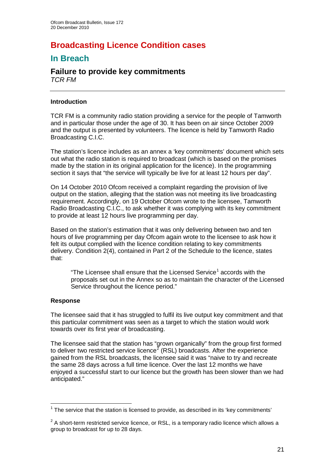# **Broadcasting Licence Condition cases**

## **In Breach**

#### **Failure to provide key commitments** *TCR FM*

#### **Introduction**

TCR FM is a community radio station providing a service for the people of Tamworth and in particular those under the age of 30. It has been on air since October 2009 and the output is presented by volunteers. The licence is held by Tamworth Radio Broadcasting C.I.C.

The station's licence includes as an annex a 'key commitments' document which sets out what the radio station is required to broadcast (which is based on the promises made by the station in its original application for the licence). In the programming section it says that "the service will typically be live for at least 12 hours per day".

On 14 October 2010 Ofcom received a complaint regarding the provision of live output on the station, alleging that the station was not meeting its live broadcasting requirement. Accordingly, on 19 October Ofcom wrote to the licensee, Tamworth Radio Broadcasting C.I.C., to ask whether it was complying with its key commitment to provide at least 12 hours live programming per day.

Based on the station's estimation that it was only delivering between two and ten hours of live programming per day Ofcom again wrote to the licensee to ask how it felt its output complied with the licence condition relating to key commitments delivery. Condition 2(4), contained in Part 2 of the Schedule to the licence, states that:

"The Licensee shall ensure that the Licensed Service<sup>[1](#page-20-0)</sup> accords with the proposals set out in the Annex so as to maintain the character of the Licensed Service throughout the licence period."

#### **Response**

The licensee said that it has struggled to fulfil its live output key commitment and that this particular commitment was seen as a target to which the station would work towards over its first year of broadcasting.

The licensee said that the station has "grown organically" from the group first formed to deliver two restricted service licence<sup>[2](#page-20-1)</sup> (RSL) broadcasts. After the experience gained from the RSL broadcasts, the licensee said it was "naive to try and recreate the same 28 days across a full time licence. Over the last 12 months we have enjoyed a successful start to our licence but the growth has been slower than we had anticipated."

<span id="page-20-0"></span> $1$  The service that the station is licensed to provide, as described in its 'key commitments'

<span id="page-20-1"></span> $2$  A short-term restricted service licence, or RSL, is a temporary radio licence which allows a group to broadcast for up to 28 days.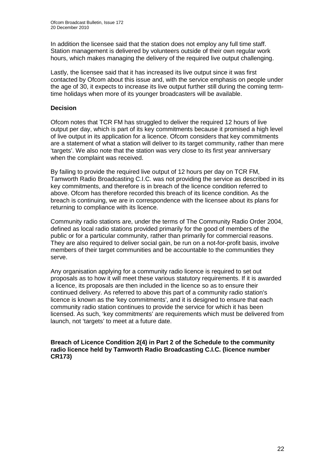In addition the licensee said that the station does not employ any full time staff. Station management is delivered by volunteers outside of their own regular work hours, which makes managing the delivery of the required live output challenging.

Lastly, the licensee said that it has increased its live output since it was first contacted by Ofcom about this issue and, with the service emphasis on people under the age of 30, it expects to increase its live output further still during the coming termtime holidays when more of its younger broadcasters will be available.

#### **Decision**

Ofcom notes that TCR FM has struggled to deliver the required 12 hours of live output per day, which is part of its key commitments because it promised a high level of live output in its application for a licence. Ofcom considers that key commitments are a statement of what a station will deliver to its target community, rather than mere 'targets'. We also note that the station was very close to its first year anniversary when the complaint was received.

By failing to provide the required live output of 12 hours per day on TCR FM, Tamworth Radio Broadcasting C.I.C. was not providing the service as described in its key commitments, and therefore is in breach of the licence condition referred to above. Ofcom has therefore recorded this breach of its licence condition. As the breach is continuing, we are in correspondence with the licensee about its plans for returning to compliance with its licence.

Community radio stations are, under the terms of The Community Radio Order 2004, defined as local radio stations provided primarily for the good of members of the public or for a particular community, rather than primarily for commercial reasons. They are also required to deliver social gain, be run on a not-for-profit basis, involve members of their target communities and be accountable to the communities they serve.

Any organisation applying for a community radio licence is required to set out proposals as to how it will meet these various statutory requirements. If it is awarded a licence, its proposals are then included in the licence so as to ensure their continued delivery. As referred to above this part of a community radio station's licence is known as the 'key commitments', and it is designed to ensure that each community radio station continues to provide the service for which it has been licensed. As such, 'key commitments' are requirements which must be delivered from launch, not 'targets' to meet at a future date.

**Breach of Licence Condition 2(4) in Part 2 of the Schedule to the community radio licence held by Tamworth Radio Broadcasting C.I.C. (licence number CR173)**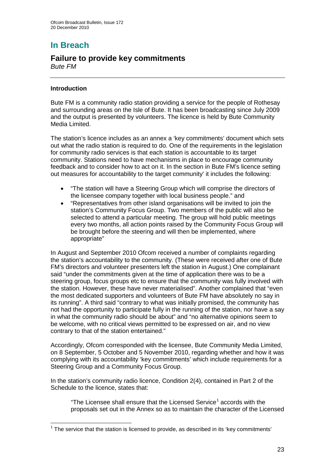# **In Breach**

## **Failure to provide key commitments**

*Bute FM*

#### **Introduction**

Bute FM is a community radio station providing a service for the people of Rothesay and surrounding areas on the Isle of Bute. It has been broadcasting since July 2009 and the output is presented by volunteers. The licence is held by Bute Community Media Limited.

The station's licence includes as an annex a 'key commitments' document which sets out what the radio station is required to do. One of the requirements in the legislation for community radio services is that each station is accountable to its target community. Stations need to have mechanisms in place to encourage community feedback and to consider how to act on it. In the section in Bute FM's licence setting out measures for accountability to the target community' it includes the following:

- "The station will have a Steering Group which will comprise the directors of the licensee company together with local business people." and
- "Representatives from other island organisations will be invited to join the station's Community Focus Group. Two members of the public will also be selected to attend a particular meeting. The group will hold public meetings every two months, all action points raised by the Community Focus Group will be brought before the steering and will then be implemented, where appropriate"

In August and September 2010 Ofcom received a number of complaints regarding the station's accountability to the community. (These were received after one of Bute FM's directors and volunteer presenters left the station in August.) One complainant said "under the commitments given at the time of application there was to be a steering group, focus groups etc to ensure that the community was fully involved with the station. However, these have never materialised". Another complained that "even the most dedicated supporters and volunteers of Bute FM have absolutely no say in its running". A third said "contrary to what was initially promised, the community has not had the opportunity to participate fully in the running of the station, nor have a say in what the community radio should be about" and "no alternative opinions seem to be welcome, with no critical views permitted to be expressed on air, and no view contrary to that of the station entertained."

Accordingly, Ofcom corresponded with the licensee, Bute Community Media Limited, on 8 September, 5 October and 5 November 2010, regarding whether and how it was complying with its accountability 'key commitments' which include requirements for a Steering Group and a Community Focus Group.

In the station's community radio licence, Condition 2(4), contained in Part 2 of the Schedule to the licence, states that:

"The Licensee shall ensure that the Licensed Service<sup>[1](#page-22-0)</sup> accords with the proposals set out in the Annex so as to maintain the character of the Licensed

<span id="page-22-0"></span> $1$  The service that the station is licensed to provide, as described in its 'key commitments'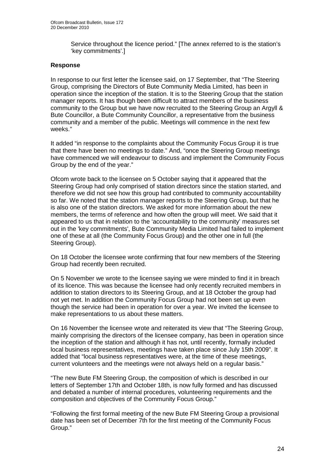Service throughout the licence period." [The annex referred to is the station's 'key commitments'.]

#### **Response**

In response to our first letter the licensee said, on 17 September, that "The Steering Group, comprising the Directors of Bute Community Media Limited, has been in operation since the inception of the station. It is to the Steering Group that the station manager reports. It has though been difficult to attract members of the business community to the Group but we have now recruited to the Steering Group an Argyll & Bute Councillor, a Bute Community Councillor, a representative from the business community and a member of the public. Meetings will commence in the next few weeks."

It added "in response to the complaints about the Community Focus Group it is true that there have been no meetings to date." And, "once the Steering Group meetings have commenced we will endeavour to discuss and implement the Community Focus Group by the end of the year."

Ofcom wrote back to the licensee on 5 October saying that it appeared that the Steering Group had only comprised of station directors since the station started, and therefore we did not see how this group had contributed to community accountability so far. We noted that the station manager reports to the Steering Group, but that he is also one of the station directors. We asked for more information about the new members, the terms of reference and how often the group will meet. We said that it appeared to us that in relation to the 'accountability to the community' measures set out in the 'key commitments', Bute Community Media Limited had failed to implement one of these at all (the Community Focus Group) and the other one in full (the Steering Group).

On 18 October the licensee wrote confirming that four new members of the Steering Group had recently been recruited.

On 5 November we wrote to the licensee saying we were minded to find it in breach of its licence. This was because the licensee had only recently recruited members in addition to station directors to its Steering Group, and at 18 October the group had not yet met. In addition the Community Focus Group had not been set up even though the service had been in operation for over a year. We invited the licensee to make representations to us about these matters.

On 16 November the licensee wrote and reiterated its view that "The Steering Group, mainly comprising the directors of the licensee company, has been in operation since the inception of the station and although it has not, until recently, formally included local business representatives, meetings have taken place since July 15th 2009". It added that "local business representatives were, at the time of these meetings, current volunteers and the meetings were not always held on a regular basis."

"The new Bute FM Steering Group, the composition of which is described in our letters of September 17th and October 18th, is now fully formed and has discussed and debated a number of internal procedures, volunteering requirements and the composition and objectives of the Community Focus Group."

"Following the first formal meeting of the new Bute FM Steering Group a provisional date has been set of December 7th for the first meeting of the Community Focus Group."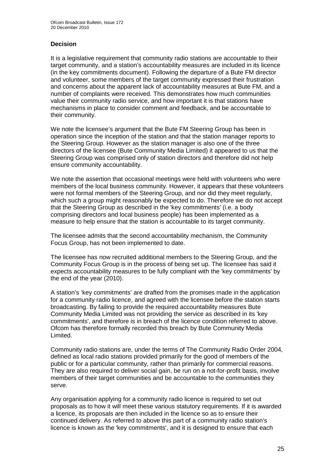#### **Decision**

It is a legislative requirement that community radio stations are accountable to their target community, and a station's accountability measures are included in its licence (in the key commitments document). Following the departure of a Bute FM director and volunteer, some members of the target community expressed their frustration and concerns about the apparent lack of accountability measures at Bute FM, and a number of complaints were received. This demonstrates how much communities value their community radio service, and how important it is that stations have mechanisms in place to consider comment and feedback, and be accountable to their community.

We note the licensee's argument that the Bute FM Steering Group has been in operation since the inception of the station and that the station manager reports to the Steering Group. However as the station manager is also one of the three directors of the licensee (Bute Community Media Limited) it appeared to us that the Steering Group was comprised only of station directors and therefore did not help ensure community accountability.

We note the assertion that occasional meetings were held with volunteers who were members of the local business community. However, it appears that these volunteers were not formal members of the Steering Group, and nor did they meet regularly, which such a group might reasonably be expected to do. Therefore we do not accept that the Steering Group as described in the 'key commitments' (i.e. a body comprising directors and local business people) has been implemented as a measure to help ensure that the station is accountable to its target community.

The licensee admits that the second accountability mechanism, the Community Focus Group, has not been implemented to date.

The licensee has now recruited additional members to the Steering Group, and the Community Focus Group is in the process of being set up. The licensee has said it expects accountability measures to be fully compliant with the 'key commitments' by the end of the year (2010).

A station's 'key commitments' are drafted from the promises made in the application for a community radio licence, and agreed with the licensee before the station starts broadcasting. By failing to provide the required accountability measures Bute Community Media Limited was not providing the service as described in its 'key commitments', and therefore is in breach of the licence condition referred to above. Ofcom has therefore formally recorded this breach by Bute Community Media Limited.

Community radio stations are, under the terms of The Community Radio Order 2004, defined as local radio stations provided primarily for the good of members of the public or for a particular community, rather than primarily for commercial reasons. They are also required to deliver social gain, be run on a not-for-profit basis, involve members of their target communities and be accountable to the communities they serve.

Any organisation applying for a community radio licence is required to set out proposals as to how it will meet these various statutory requirements. If it is awarded a licence, its proposals are then included in the licence so as to ensure their continued delivery. As referred to above this part of a community radio station's licence is known as the 'key commitments', and it is designed to ensure that each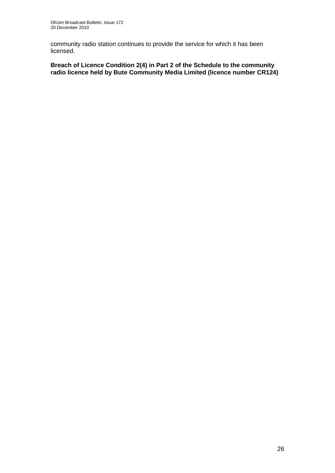community radio station continues to provide the service for which it has been licensed.

**Breach of Licence Condition 2(4) in Part 2 of the Schedule to the community radio licence held by Bute Community Media Limited (licence number CR124)**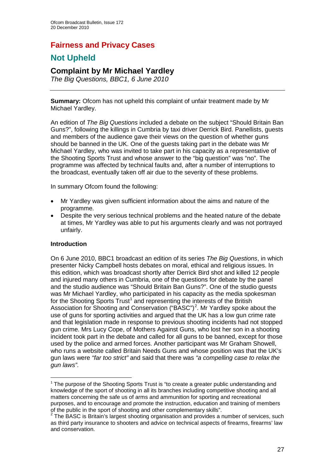## **Fairness and Privacy Cases**

## **Not Upheld**

## **Complaint by Mr Michael Yardley**

*The Big Questions, BBC1, 6 June 2010*

**Summary:** Ofcom has not upheld this complaint of unfair treatment made by Mr Michael Yardley.

An edition of *The Big Questions* included a debate on the subject "Should Britain Ban Guns?", following the killings in Cumbria by taxi driver Derrick Bird. Panellists, guests and members of the audience gave their views on the question of whether guns should be banned in the UK. One of the guests taking part in the debate was Mr Michael Yardley, who was invited to take part in his capacity as a representative of the Shooting Sports Trust and whose answer to the "big question" was "no". The programme was affected by technical faults and, after a number of interruptions to the broadcast, eventually taken off air due to the severity of these problems.

In summary Ofcom found the following:

- Mr Yardley was given sufficient information about the aims and nature of the programme.
- Despite the very serious technical problems and the heated nature of the debate at times, Mr Yardley was able to put his arguments clearly and was not portrayed unfairly.

#### **Introduction**

On 6 June 2010, BBC1 broadcast an edition of its series *The Big Questions*, in which presenter Nicky Campbell hosts debates on moral, ethical and religious issues. In this edition, which was broadcast shortly after Derrick Bird shot and killed 12 people and injured many others in Cumbria, one of the questions for debate by the panel and the studio audience was "Should Britain Ban Guns?". One of the studio guests was Mr Michael Yardley, who participated in his capacity as the media spokesman for the Shooting Sports Trust<sup>[1](#page-26-0)</sup> and representing the interests of the British Association for Shooting and Conservation ("BASC")<sup>[2](#page-26-1)</sup>. Mr Yardley spoke about the use of guns for sporting activities and argued that the UK has a low gun crime rate and that legislation made in response to previous shooting incidents had not stopped gun crime. Mrs Lucy Cope, of Mothers Against Guns, who lost her son in a shooting incident took part in the debate and called for all guns to be banned, except for those used by the police and armed forces. Another participant was Mr Graham Showell, who runs a website called Britain Needs Guns and whose position was that the UK's gun laws were *"far too strict"* and said that there was *"a compelling case to relax the gun laws"*.

<span id="page-26-0"></span> $1$  The purpose of the Shooting Sports Trust is "to create a greater public understanding and knowledge of the sport of shooting in all its branches including competitive shooting and all matters concerning the safe us of arms and ammunition for sporting and recreational purposes, and to encourage and promote the instruction, education and training of members of the public in the sport of shooting and other complementary skills".

<span id="page-26-1"></span> $2$  The BASC is Britain's largest shooting organisation and provides a number of services, such as third party insurance to shooters and advice on technical aspects of firearms, firearms' law and conservation.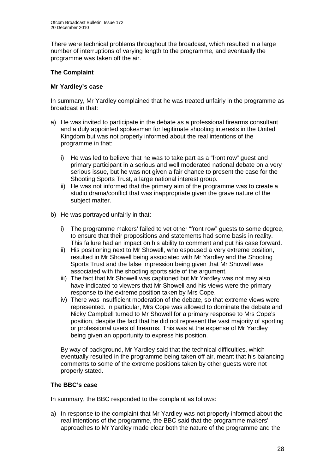There were technical problems throughout the broadcast, which resulted in a large number of interruptions of varying length to the programme, and eventually the programme was taken off the air.

#### **The Complaint**

#### **Mr Yardley's case**

In summary, Mr Yardley complained that he was treated unfairly in the programme as broadcast in that:

- a) He was invited to participate in the debate as a professional firearms consultant and a duly appointed spokesman for legitimate shooting interests in the United Kingdom but was not properly informed about the real intentions of the programme in that:
	- i) He was led to believe that he was to take part as a "front row" guest and primary participant in a serious and well moderated national debate on a very serious issue, but he was not given a fair chance to present the case for the Shooting Sports Trust, a large national interest group.
	- ii) He was not informed that the primary aim of the programme was to create a studio drama/conflict that was inappropriate given the grave nature of the subject matter.
- b) He was portrayed unfairly in that:
	- i) The programme makers' failed to vet other "front row" guests to some degree, to ensure that their propositions and statements had some basis in reality. This failure had an impact on his ability to comment and put his case forward.
	- ii) His positioning next to Mr Showell, who espoused a very extreme position, resulted in Mr Showell being associated with Mr Yardley and the Shooting Sports Trust and the false impression being given that Mr Showell was associated with the shooting sports side of the argument.
	- iii) The fact that Mr Showell was captioned but Mr Yardley was not may also have indicated to viewers that Mr Showell and his views were the primary response to the extreme position taken by Mrs Cope.
	- iv) There was insufficient moderation of the debate, so that extreme views were represented. In particular, Mrs Cope was allowed to dominate the debate and Nicky Campbell turned to Mr Showell for a primary response to Mrs Cope's position, despite the fact that he did not represent the vast majority of sporting or professional users of firearms. This was at the expense of Mr Yardley being given an opportunity to express his position.

By way of background, Mr Yardley said that the technical difficulties, which eventually resulted in the programme being taken off air, meant that his balancing comments to some of the extreme positions taken by other guests were not properly stated.

#### **The BBC's case**

In summary, the BBC responded to the complaint as follows:

a) In response to the complaint that Mr Yardley was not properly informed about the real intentions of the programme, the BBC said that the programme makers' approaches to Mr Yardley made clear both the nature of the programme and the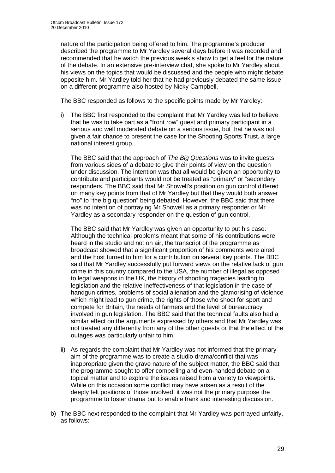nature of the participation being offered to him. The programme's producer described the programme to Mr Yardley several days before it was recorded and recommended that he watch the previous week's show to get a feel for the nature of the debate. In an extensive pre-interview chat, she spoke to Mr Yardley about his views on the topics that would be discussed and the people who might debate opposite him. Mr Yardley told her that he had previously debated the same issue on a different programme also hosted by Nicky Campbell.

The BBC responded as follows to the specific points made by Mr Yardley:

i) The BBC first responded to the complaint that Mr Yardley was led to believe that he was to take part as a "front row" guest and primary participant in a serious and well moderated debate on a serious issue, but that he was not given a fair chance to present the case for the Shooting Sports Trust, a large national interest group.

The BBC said that the approach of *The Big Questions* was to invite guests from various sides of a debate to give their points of view on the question under discussion. The intention was that all would be given an opportunity to contribute and participants would not be treated as "primary" or "secondary" responders. The BBC said that Mr Showell's position on gun control differed on many key points from that of Mr Yardley but that they would both answer "no" to "the big question" being debated. However, the BBC said that there was no intention of portraying Mr Showell as a primary responder or Mr Yardley as a secondary responder on the question of gun control.

The BBC said that Mr Yardley was given an opportunity to put his case. Although the technical problems meant that some of his contributions were heard in the studio and not on air, the transcript of the programme as broadcast showed that a significant proportion of his comments were aired and the host turned to him for a contribution on several key points. The BBC said that Mr Yardley successfully put forward views on the relative lack of gun crime in this country compared to the USA, the number of illegal as opposed to legal weapons in the UK, the history of shooting tragedies leading to legislation and the relative ineffectiveness of that legislation in the case of handgun crimes, problems of social alienation and the glamorising of violence which might lead to gun crime, the rights of those who shoot for sport and compete for Britain, the needs of farmers and the level of bureaucracy involved in gun legislation. The BBC said that the technical faults also had a similar effect on the arguments expressed by others and that Mr Yardley was not treated any differently from any of the other guests or that the effect of the outages was particularly unfair to him.

- ii) As regards the complaint that Mr Yardley was not informed that the primary aim of the programme was to create a studio drama/conflict that was inappropriate given the grave nature of the subject matter, the BBC said that the programme sought to offer compelling and even-handed debate on a topical matter and to explore the issues raised from a variety to viewpoints. While on this occasion some conflict may have arisen as a result of the deeply felt positions of those involved, it was not the primary purpose the programme to foster drama but to enable frank and interesting discussion.
- b) The BBC next responded to the complaint that Mr Yardley was portrayed unfairly, as follows: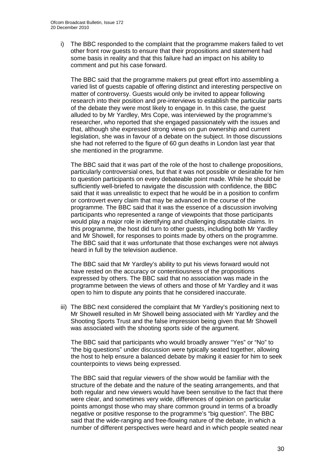i) The BBC responded to the complaint that the programme makers failed to vet other front row guests to ensure that their propositions and statement had some basis in reality and that this failure had an impact on his ability to comment and put his case forward.

The BBC said that the programme makers put great effort into assembling a varied list of guests capable of offering distinct and interesting perspective on matter of controversy. Guests would only be invited to appear following research into their position and pre-interviews to establish the particular parts of the debate they were most likely to engage in. In this case, the guest alluded to by Mr Yardley, Mrs Cope, was interviewed by the programme's researcher, who reported that she engaged passionately with the issues and that, although she expressed strong views on gun ownership and current legislation, she was in favour of a debate on the subject. In those discussions she had not referred to the figure of 60 gun deaths in London last year that she mentioned in the programme.

The BBC said that it was part of the role of the host to challenge propositions, particularly controversial ones, but that it was not possible or desirable for him to question participants on every debateable point made. While he should be sufficiently well-briefed to navigate the discussion with confidence, the BBC said that it was unrealistic to expect that he would be in a position to confirm or controvert every claim that may be advanced in the course of the programme. The BBC said that it was the essence of a discussion involving participants who represented a range of viewpoints that those participants would play a major role in identifying and challenging disputable claims. In this programme, the host did turn to other guests, including both Mr Yardley and Mr Showell, for responses to points made by others on the programme. The BBC said that it was unfortunate that those exchanges were not always heard in full by the television audience.

The BBC said that Mr Yardley's ability to put his views forward would not have rested on the accuracy or contentiousness of the propositions expressed by others. The BBC said that no association was made in the programme between the views of others and those of Mr Yardley and it was open to him to dispute any points that he considered inaccurate.

iii) The BBC next considered the complaint that Mr Yardley's positioning next to Mr Showell resulted in Mr Showell being associated with Mr Yardley and the Shooting Sports Trust and the false impression being given that Mr Showell was associated with the shooting sports side of the argument.

The BBC said that participants who would broadly answer "Yes" or "No" to "the big questions" under discussion were typically seated together, allowing the host to help ensure a balanced debate by making it easier for him to seek counterpoints to views being expressed.

The BBC said that regular viewers of the show would be familiar with the structure of the debate and the nature of the seating arrangements, and that both regular and new viewers would have been sensitive to the fact that there were clear, and sometimes very wide, differences of opinion on particular points amongst those who may share common ground in terms of a broadly negative or positive response to the programme's "big question". The BBC said that the wide-ranging and free-flowing nature of the debate, in which a number of different perspectives were heard and in which people seated near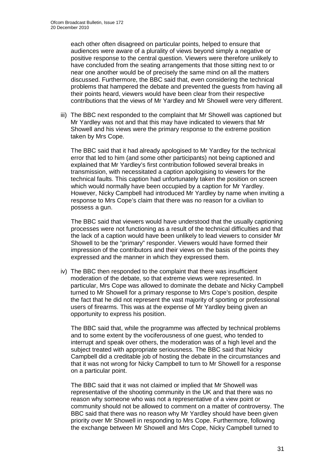each other often disagreed on particular points, helped to ensure that audiences were aware of a plurality of views beyond simply a negative or positive response to the central question. Viewers were therefore unlikely to have concluded from the seating arrangements that those sitting next to or near one another would be of precisely the same mind on all the matters discussed. Furthermore, the BBC said that, even considering the technical problems that hampered the debate and prevented the guests from having all their points heard, viewers would have been clear from their respective contributions that the views of Mr Yardley and Mr Showell were very different.

iii) The BBC next responded to the complaint that Mr Showell was captioned but Mr Yardley was not and that this may have indicated to viewers that Mr Showell and his views were the primary response to the extreme position taken by Mrs Cope.

The BBC said that it had already apologised to Mr Yardley for the technical error that led to him (and some other participants) not being captioned and explained that Mr Yardley's first contribution followed several breaks in transmission, with necessitated a caption apologising to viewers for the technical faults. This caption had unfortunately taken the position on screen which would normally have been occupied by a caption for Mr Yardley. However, Nicky Campbell had introduced Mr Yardley by name when inviting a response to Mrs Cope's claim that there was no reason for a civilian to possess a gun.

The BBC said that viewers would have understood that the usually captioning processes were not functioning as a result of the technical difficulties and that the lack of a caption would have been unlikely to lead viewers to consider Mr Showell to be the "primary" responder. Viewers would have formed their impression of the contributors and their views on the basis of the points they expressed and the manner in which they expressed them.

iv) The BBC then responded to the complaint that there was insufficient moderation of the debate, so that extreme views were represented. In particular, Mrs Cope was allowed to dominate the debate and Nicky Campbell turned to Mr Showell for a primary response to Mrs Cope's position, despite the fact that he did not represent the vast majority of sporting or professional users of firearms. This was at the expense of Mr Yardley being given an opportunity to express his position.

The BBC said that, while the programme was affected by technical problems and to some extent by the vociferousness of one guest, who tended to interrupt and speak over others, the moderation was of a high level and the subject treated with appropriate seriousness. The BBC said that Nicky Campbell did a creditable job of hosting the debate in the circumstances and that it was not wrong for Nicky Campbell to turn to Mr Showell for a response on a particular point.

The BBC said that it was not claimed or implied that Mr Showell was representative of the shooting community in the UK and that there was no reason why someone who was not a representative of a view point or community should not be allowed to comment on a matter of controversy. The BBC said that there was no reason why Mr Yardley should have been given priority over Mr Showell in responding to Mrs Cope. Furthermore, following the exchange between Mr Showell and Mrs Cope, Nicky Campbell turned to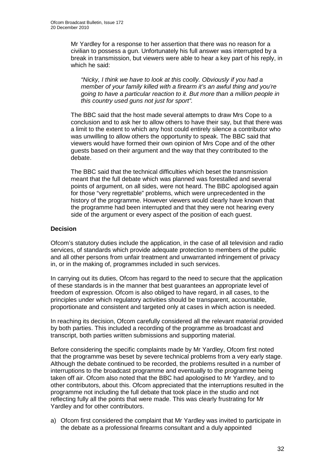Mr Yardley for a response to her assertion that there was no reason for a civilian to possess a gun. Unfortunately his full answer was interrupted by a break in transmission, but viewers were able to hear a key part of his reply, in which he said:

*"Nicky, I think we have to look at this coolly. Obviously if you had a member of your family killed with a firearm it's an awful thing and you're going to have a particular reaction to it. But more than a million people in this country used guns not just for sport".*

The BBC said that the host made several attempts to draw Mrs Cope to a conclusion and to ask her to allow others to have their say, but that there was a limit to the extent to which any host could entirely silence a contributor who was unwilling to allow others the opportunity to speak. The BBC said that viewers would have formed their own opinion of Mrs Cope and of the other guests based on their argument and the way that they contributed to the debate.

The BBC said that the technical difficulties which beset the transmission meant that the full debate which was planned was forestalled and several points of argument, on all sides, were not heard. The BBC apologised again for those "very regrettable" problems, which were unprecedented in the history of the programme. However viewers would clearly have known that the programme had been interrupted and that they were not hearing every side of the argument or every aspect of the position of each guest.

#### **Decision**

Ofcom's statutory duties include the application, in the case of all television and radio services, of standards which provide adequate protection to members of the public and all other persons from unfair treatment and unwarranted infringement of privacy in, or in the making of, programmes included in such services.

In carrying out its duties, Ofcom has regard to the need to secure that the application of these standards is in the manner that best guarantees an appropriate level of freedom of expression. Ofcom is also obliged to have regard, in all cases, to the principles under which regulatory activities should be transparent, accountable, proportionate and consistent and targeted only at cases in which action is needed.

In reaching its decision, Ofcom carefully considered all the relevant material provided by both parties. This included a recording of the programme as broadcast and transcript, both parties written submissions and supporting material.

Before considering the specific complaints made by Mr Yardley, Ofcom first noted that the programme was beset by severe technical problems from a very early stage. Although the debate continued to be recorded, the problems resulted in a number of interruptions to the broadcast programme and eventually to the programme being taken off air. Ofcom also noted that the BBC had apologised to Mr Yardley, and to other contributors, about this. Ofcom appreciated that the interruptions resulted in the programme not including the full debate that took place in the studio and not reflecting fully all the points that were made. This was clearly frustrating for Mr Yardley and for other contributors.

a) Ofcom first considered the complaint that Mr Yardley was invited to participate in the debate as a professional firearms consultant and a duly appointed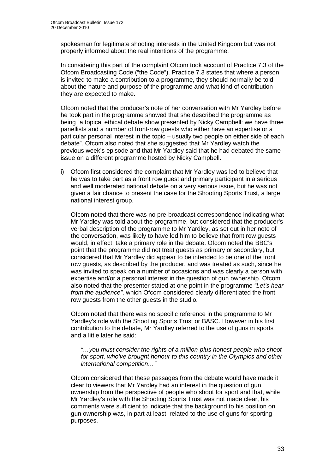spokesman for legitimate shooting interests in the United Kingdom but was not properly informed about the real intentions of the programme.

In considering this part of the complaint Ofcom took account of Practice 7.3 of the Ofcom Broadcasting Code ("the Code"). Practice 7.3 states that where a person is invited to make a contribution to a programme, they should normally be told about the nature and purpose of the programme and what kind of contribution they are expected to make.

Ofcom noted that the producer's note of her conversation with Mr Yardley before he took part in the programme showed that she described the programme as being "a topical ethical debate show presented by Nicky Campbell: we have three panellists and a number of front-row guests who either have an expertise or a particular personal interest in the topic – usually two people on either side of each debate". Ofcom also noted that she suggested that Mr Yardley watch the previous week's episode and that Mr Yardley said that he had debated the same issue on a different programme hosted by Nicky Campbell.

i) Ofcom first considered the complaint that Mr Yardley was led to believe that he was to take part as a front row guest and primary participant in a serious and well moderated national debate on a very serious issue, but he was not given a fair chance to present the case for the Shooting Sports Trust, a large national interest group.

Ofcom noted that there was no pre-broadcast correspondence indicating what Mr Yardley was told about the programme, but considered that the producer's verbal description of the programme to Mr Yardley, as set out in her note of the conversation, was likely to have led him to believe that front row guests would, in effect, take a primary role in the debate. Ofcom noted the BBC's point that the programme did not treat guests as primary or secondary, but considered that Mr Yardley did appear to be intended to be one of the front row guests, as described by the producer, and was treated as such, since he was invited to speak on a number of occasions and was clearly a person with expertise and/or a personal interest in the question of gun ownership. Ofcom also noted that the presenter stated at one point in the programme *"Let's hear from the audience"*, which Ofcom considered clearly differentiated the front row guests from the other guests in the studio.

Ofcom noted that there was no specific reference in the programme to Mr Yardley's role with the Shooting Sports Trust or BASC. However in his first contribution to the debate, Mr Yardley referred to the use of guns in sports and a little later he said:

*"…you must consider the rights of a million-plus honest people who shoot for sport, who've brought honour to this country in the Olympics and other international competition…"*

Ofcom considered that these passages from the debate would have made it clear to viewers that Mr Yardley had an interest in the question of gun ownership from the perspective of people who shoot for sport and that, while Mr Yardley's role with the Shooting Sports Trust was not made clear, his comments were sufficient to indicate that the background to his position on gun ownership was, in part at least, related to the use of guns for sporting purposes.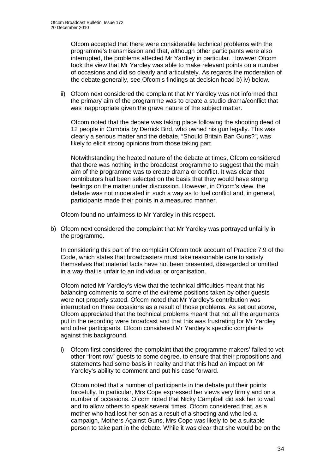Ofcom accepted that there were considerable technical problems with the programme's transmission and that, although other participants were also interrupted, the problems affected Mr Yardley in particular. However Ofcom took the view that Mr Yardley was able to make relevant points on a number of occasions and did so clearly and articulately. As regards the moderation of the debate generally, see Ofcom's findings at decision head b) iv) below.

ii) Ofcom next considered the complaint that Mr Yardley was not informed that the primary aim of the programme was to create a studio drama/conflict that was inappropriate given the grave nature of the subject matter.

Ofcom noted that the debate was taking place following the shooting dead of 12 people in Cumbria by Derrick Bird, who owned his gun legally. This was clearly a serious matter and the debate, "Should Britain Ban Guns?", was likely to elicit strong opinions from those taking part.

Notwithstanding the heated nature of the debate at times, Ofcom considered that there was nothing in the broadcast programme to suggest that the main aim of the programme was to create drama or conflict. It was clear that contributors had been selected on the basis that they would have strong feelings on the matter under discussion. However, in Ofcom's view, the debate was not moderated in such a way as to fuel conflict and, in general, participants made their points in a measured manner.

Ofcom found no unfairness to Mr Yardley in this respect.

b) Ofcom next considered the complaint that Mr Yardley was portrayed unfairly in the programme.

In considering this part of the complaint Ofcom took account of Practice 7.9 of the Code, which states that broadcasters must take reasonable care to satisfy themselves that material facts have not been presented, disregarded or omitted in a way that is unfair to an individual or organisation.

Ofcom noted Mr Yardley's view that the technical difficulties meant that his balancing comments to some of the extreme positions taken by other guests were not properly stated. Ofcom noted that Mr Yardley's contribution was interrupted on three occasions as a result of those problems. As set out above, Ofcom appreciated that the technical problems meant that not all the arguments put in the recording were broadcast and that this was frustrating for Mr Yardley and other participants. Ofcom considered Mr Yardley's specific complaints against this background.

i) Ofcom first considered the complaint that the programme makers' failed to vet other "front row" guests to some degree, to ensure that their propositions and statements had some basis in reality and that this had an impact on Mr Yardley's ability to comment and put his case forward.

Ofcom noted that a number of participants in the debate put their points forcefully. In particular, Mrs Cope expressed her views very firmly and on a number of occasions. Ofcom noted that Nicky Campbell did ask her to wait and to allow others to speak several times. Ofcom considered that, as a mother who had lost her son as a result of a shooting and who led a campaign, Mothers Against Guns, Mrs Cope was likely to be a suitable person to take part in the debate. While it was clear that she would be on the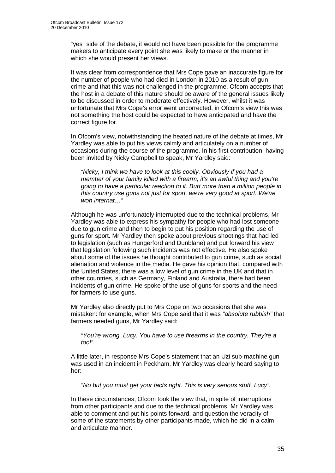"yes" side of the debate, it would not have been possible for the programme makers to anticipate every point she was likely to make or the manner in which she would present her views.

It was clear from correspondence that Mrs Cope gave an inaccurate figure for the number of people who had died in London in 2010 as a result of gun crime and that this was not challenged in the programme. Ofcom accepts that the host in a debate of this nature should be aware of the general issues likely to be discussed in order to moderate effectively. However, whilst it was unfortunate that Mrs Cope's error went uncorrected, in Ofcom's view this was not something the host could be expected to have anticipated and have the correct figure for.

In Ofcom's view, notwithstanding the heated nature of the debate at times, Mr Yardley was able to put his views calmly and articulately on a number of occasions during the course of the programme. In his first contribution, having been invited by Nicky Campbell to speak, Mr Yardley said:

*"Nicky, I think we have to look at this coolly. Obviously if you had a member of your family killed with a firearm, it's an awful thing and you're going to have a particular reaction to it. Burt more than a million people in this country use guns not just for sport, we're very good at sport. We've won internat…"*

Although he was unfortunately interrupted due to the technical problems, Mr Yardley was able to express his sympathy for people who had lost someone due to gun crime and then to begin to put his position regarding the use of guns for sport. Mr Yardley then spoke about previous shootings that had led to legislation (such as Hungerford and Dunblane) and put forward his view that legislation following such incidents was not effective. He also spoke about some of the issues he thought contributed to gun crime, such as social alienation and violence in the media. He gave his opinion that, compared with the United States, there was a low level of gun crime in the UK and that in other countries, such as Germany, Finland and Australia, there had been incidents of gun crime. He spoke of the use of guns for sports and the need for farmers to use guns.

Mr Yardley also directly put to Mrs Cope on two occasions that she was mistaken: for example, when Mrs Cope said that it was *"absolute rubbish"* that farmers needed guns, Mr Yardley said:

*"You're wrong, Lucy. You have to use firearms in the country. They're a tool".*

A little later, in response Mrs Cope's statement that an Uzi sub-machine gun was used in an incident in Peckham, Mr Yardley was clearly heard saying to her:

*"No but you must get your facts right. This is very serious stuff, Lucy".*

In these circumstances, Ofcom took the view that, in spite of interruptions from other participants and due to the technical problems, Mr Yardley was able to comment and put his points forward, and question the veracity of some of the statements by other participants made, which he did in a calm and articulate manner.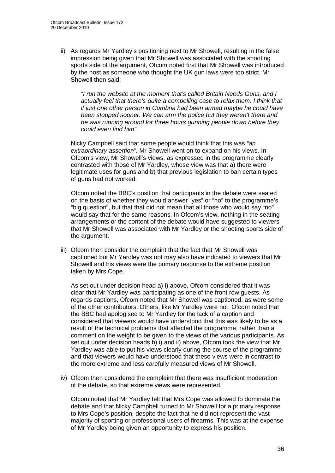ii) As regards Mr Yardley's positioning next to Mr Showell, resulting in the false impression being given that Mr Showell was associated with the shooting sports side of the argument, Ofcom noted first that Mr Showell was introduced by the host as someone who thought the UK gun laws were too strict. Mr Showell then said:

*"I run the website at the moment that's called Britain Needs Guns, and I actually feel that there's quite a compelling case to relax them*. *I think that if just one other person in Cumbria had been armed maybe he could have been stopped sooner. We can arm the police but they weren't there and he was running around for three hours gunning people down before they could even find him"*.

Nicky Campbell said that some people would think that this was *"an extraordinary assertion"*. Mr Showell went on to expand on his views. In Ofcom's view, Mr Showell's views, as expressed in the programme clearly contrasted with those of Mr Yardley, whose view was that a) there were legitimate uses for guns and b) that previous legislation to ban certain types of guns had not worked.

Ofcom noted the BBC's position that participants in the debate were seated on the basis of whether they would answer "yes" or "no" to the programme's "big question", but that that did not mean that all those who would say "no" would say that for the same reasons. In Ofcom's view, nothing in the seating arrangements or the content of the debate would have suggested to viewers that Mr Showell was associated with Mr Yardley or the shooting sports side of the argument.

iii) Ofcom then consider the complaint that the fact that Mr Showell was captioned but Mr Yardley was not may also have indicated to viewers that Mr Showell and his views were the primary response to the extreme position taken by Mrs Cope.

As set out under decision head a) i) above, Ofcom considered that it was clear that Mr Yardley was participating as one of the front row guests. As regards captions, Ofcom noted that Mr Showell was captioned, as were some of the other contributors. Others, like Mr Yardley were not. Ofcom noted that the BBC had apologised to Mr Yardley for the lack of a caption and considered that viewers would have understood that this was likely to be as a result of the technical problems that affected the programme, rather than a comment on the weight to be given to the views of the various participants. As set out under decision heads b) i) and ii) above, Ofcom took the view that Mr Yardley was able to put his views clearly during the course of the programme and that viewers would have understood that these views were in contrast to the more extreme and less carefully measured views of Mr Showell.

iv) Ofcom then considered the complaint that there was insufficient moderation of the debate, so that extreme views were represented.

Ofcom noted that Mr Yardley felt that Mrs Cope was allowed to dominate the debate and that Nicky Campbell turned to Mr Showell for a primary response to Mrs Cope's position, despite the fact that he did not represent the vast majority of sporting or professional users of firearms. This was at the expense of Mr Yardley being given an opportunity to express his position.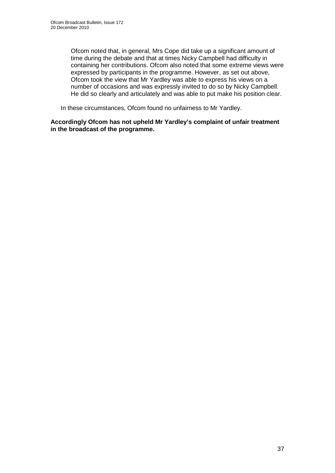Ofcom noted that, in general, Mrs Cope did take up a significant amount of time during the debate and that at times Nicky Campbell had difficulty in containing her contributions. Ofcom also noted that some extreme views were expressed by participants in the programme. However, as set out above, Ofcom took the view that Mr Yardley was able to express his views on a number of occasions and was expressly invited to do so by Nicky Campbell. He did so clearly and articulately and was able to put make his position clear.

In these circumstances, Ofcom found no unfairness to Mr Yardley.

**Accordingly Ofcom has not upheld Mr Yardley's complaint of unfair treatment in the broadcast of the programme.**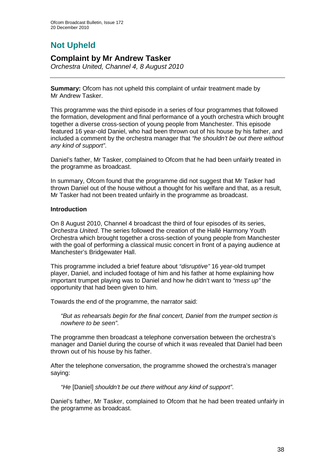# **Not Upheld**

## **Complaint by Mr Andrew Tasker**

*Orchestra United, Channel 4, 8 August 2010* 

**Summary:** Ofcom has not upheld this complaint of unfair treatment made by Mr Andrew Tasker.

This programme was the third episode in a series of four programmes that followed the formation, development and final performance of a youth orchestra which brought together a diverse cross-section of young people from Manchester. This episode featured 16 year-old Daniel, who had been thrown out of his house by his father, and included a comment by the orchestra manager that *"he shouldn't be out there without any kind of support"*.

Daniel's father, Mr Tasker, complained to Ofcom that he had been unfairly treated in the programme as broadcast.

In summary, Ofcom found that the programme did not suggest that Mr Tasker had thrown Daniel out of the house without a thought for his welfare and that, as a result, Mr Tasker had not been treated unfairly in the programme as broadcast.

#### **Introduction**

On 8 August 2010, Channel 4 broadcast the third of four episodes of its series, *Orchestra United*. The series followed the creation of the Hallé Harmony Youth Orchestra which brought together a cross-section of young people from Manchester with the goal of performing a classical music concert in front of a paying audience at Manchester's Bridgewater Hall.

This programme included a brief feature about *"disruptive"* 16 year-old trumpet player, Daniel, and included footage of him and his father at home explaining how important trumpet playing was to Daniel and how he didn't want to *"mess up"* the opportunity that had been given to him.

Towards the end of the programme, the narrator said:

*"But as rehearsals begin for the final concert, Daniel from the trumpet section is nowhere to be seen"*.

The programme then broadcast a telephone conversation between the orchestra's manager and Daniel during the course of which it was revealed that Daniel had been thrown out of his house by his father.

After the telephone conversation, the programme showed the orchestra's manager saying:

*"He* [Daniel] *shouldn't be out there without any kind of support"*.

Daniel's father, Mr Tasker, complained to Ofcom that he had been treated unfairly in the programme as broadcast.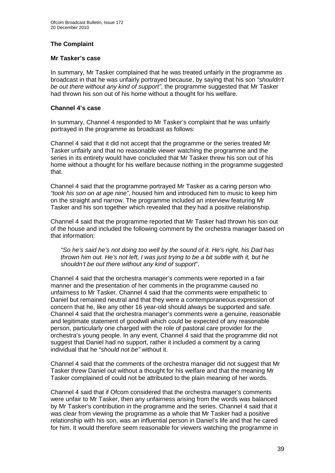#### **The Complaint**

#### **Mr Tasker's case**

In summary, Mr Tasker complained that he was treated unfairly in the programme as broadcast in that he was unfairly portrayed because, by saying that his son *"shouldn't be out there without any kind of support"*, the programme suggested that Mr Tasker had thrown his son out of his home without a thought for his welfare.

#### **Channel 4's case**

In summary, Channel 4 responded to Mr Tasker's complaint that he was unfairly portrayed in the programme as broadcast as follows:

Channel 4 said that it did not accept that the programme or the series treated Mr Tasker unfairly and that no reasonable viewer watching the programme and the series in its entirety would have concluded that Mr Tasker threw his son out of his home without a thought for his welfare because nothing in the programme suggested that.

Channel 4 said that the programme portrayed Mr Tasker as a caring person who *"took his son on at age nine"*, housed him and introduced him to music to keep him on the straight and narrow. The programme included an interview featuring Mr Tasker and his son together which revealed that they had a positive relationship.

Channel 4 said that the programme reported that Mr Tasker had thrown his son out of the house and included the following comment by the orchestra manager based on that information:

*"So he's said he's not doing too well by the sound of it. He's right, his Dad has thrown him out. He's not left, I was just trying to be a bit subtle with it, but he shouldn't be out there without any kind of support*".

Channel 4 said that the orchestra manager's comments were reported in a fair manner and the presentation of her comments in the programme caused no unfairness to Mr Tasker. Channel 4 said that the comments were empathetic to Daniel but remained neutral and that they were a contemporaneous expression of concern that he, like any other 16 year-old should always be supported and safe. Channel 4 said that the orchestra manager's comments were a genuine, reasonable and legitimate statement of goodwill which could be expected of any reasonable person, particularly one charged with the role of pastoral care provider for the orchestra's young people. In any event, Channel 4 said that the programme did not suggest that Daniel had no support, rather it included a comment by a caring individual that he *"should not be"* without it.

Channel 4 said that the comments of the orchestra manager did not suggest that Mr Tasker threw Daniel out without a thought for his welfare and that the meaning Mr Tasker complained of could not be attributed to the plain meaning of her words.

Channel 4 said that if Ofcom considered that the orchestra manager's comments were unfair to Mr Tasker, then any unfairness arising from the words was balanced by Mr Tasker's contribution in the programme and the series. Channel 4 said that it was clear from viewing the programme as a whole that Mr Tasker had a positive relationship with his son, was an influential person in Daniel's life and that he cared for him. It would therefore seem reasonable for viewers watching the programme in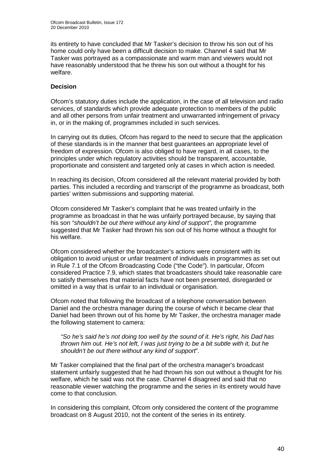its entirety to have concluded that Mr Tasker's decision to throw his son out of his home could only have been a difficult decision to make. Channel 4 said that Mr Tasker was portrayed as a compassionate and warm man and viewers would not have reasonably understood that he threw his son out without a thought for his welfare.

#### **Decision**

Ofcom's statutory duties include the application, in the case of all television and radio services, of standards which provide adequate protection to members of the public and all other persons from unfair treatment and unwarranted infringement of privacy in, or in the making of, programmes included in such services.

In carrying out its duties, Ofcom has regard to the need to secure that the application of these standards is in the manner that best guarantees an appropriate level of freedom of expression. Ofcom is also obliged to have regard, in all cases, to the principles under which regulatory activities should be transparent, accountable, proportionate and consistent and targeted only at cases in which action is needed.

In reaching its decision, Ofcom considered all the relevant material provided by both parties. This included a recording and transcript of the programme as broadcast, both parties' written submissions and supporting material.

Ofcom considered Mr Tasker's complaint that he was treated unfairly in the programme as broadcast in that he was unfairly portrayed because, by saying that his son *"shouldn't be out there without any kind of support"*, the programme suggested that Mr Tasker had thrown his son out of his home without a thought for his welfare.

Ofcom considered whether the broadcaster's actions were consistent with its obligation to avoid unjust or unfair treatment of individuals in programmes as set out in Rule 7.1 of the Ofcom Broadcasting Code ("the Code"). In particular, Ofcom considered Practice 7.9, which states that broadcasters should take reasonable care to satisfy themselves that material facts have not been presented, disregarded or omitted in a way that is unfair to an individual or organisation.

Ofcom noted that following the broadcast of a telephone conversation between Daniel and the orchestra manager during the course of which it became clear that Daniel had been thrown out of his home by Mr Tasker, the orchestra manager made the following statement to camera:

*"So he's said he's not doing too well by the sound of it. He's right, his Dad has thrown him out. He's not left, I was just trying to be a bit subtle with it, but he shouldn't be out there without any kind of support*".

Mr Tasker complained that the final part of the orchestra manager's broadcast statement unfairly suggested that he had thrown his son out without a thought for his welfare, which he said was not the case. Channel 4 disagreed and said that no reasonable viewer watching the programme and the series in its entirety would have come to that conclusion.

In considering this complaint, Ofcom only considered the content of the programme broadcast on 8 August 2010, not the content of the series in its entirety.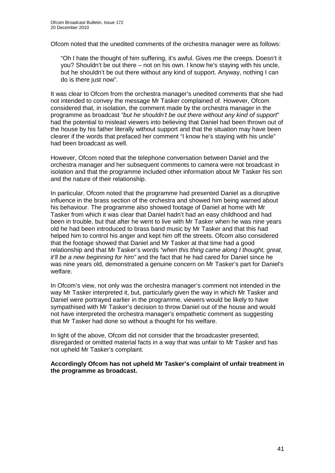Ofcom noted that the unedited comments of the orchestra manager were as follows:

"Oh I hate the thought of him suffering, it's awful. Gives me the creeps. Doesn't it you? Shouldn't be out there – not on his own. I know he's staying with his uncle, but he shouldn't be out there without any kind of support. Anyway, nothing I can do is there just now".

It was clear to Ofcom from the orchestra manager's unedited comments that she had not intended to convey the message Mr Tasker complained of. However, Ofcom considered that, in isolation, the comment made by the orchestra manager in the programme as broadcast *"but he shouldn't be out there without any kind of support*" had the potential to mislead viewers into believing that Daniel had been thrown out of the house by his father literally without support and that the situation may have been clearer if the words that prefaced her comment "I know he's staying with his uncle" had been broadcast as well.

However, Ofcom noted that the telephone conversation between Daniel and the orchestra manager and her subsequent comments to camera were not broadcast in isolation and that the programme included other information about Mr Tasker his son and the nature of their relationship.

In particular, Ofcom noted that the programme had presented Daniel as a disruptive influence in the brass section of the orchestra and showed him being warned about his behaviour. The programme also showed footage of Daniel at home with Mr Tasker from which it was clear that Daniel hadn't had an easy childhood and had been in trouble, but that after he went to live with Mr Tasker when he was nine years old he had been introduced to brass band music by Mr Tasker and that this had helped him to control his anger and kept him off the streets. Ofcom also considered that the footage showed that Daniel and Mr Tasker at that time had a good relationship and that Mr Tasker's words *"when this thing came along I thought, great, it'll be a new beginning for him"* and the fact that he had cared for Daniel since he was nine years old, demonstrated a genuine concern on Mr Tasker's part for Daniel's welfare.

In Ofcom's view, not only was the orchestra manager's comment not intended in the way Mr Tasker interpreted it, but, particularly given the way in which Mr Tasker and Daniel were portrayed earlier in the programme, viewers would be likely to have sympathised with Mr Tasker's decision to throw Daniel out of the house and would not have interpreted the orchestra manager's empathetic comment as suggesting that Mr Tasker had done so without a thought for his welfare.

In light of the above, Ofcom did not consider that the broadcaster presented, disregarded or omitted material facts in a way that was unfair to Mr Tasker and has not upheld Mr Tasker's complaint.

**Accordingly Ofcom has not upheld Mr Tasker's complaint of unfair treatment in the programme as broadcast.**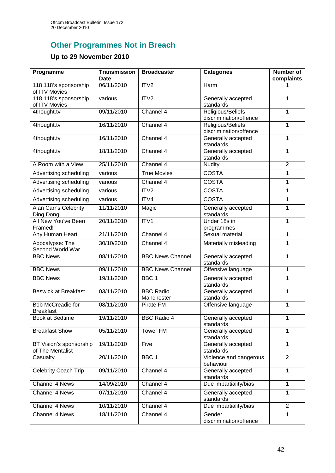# **Other Programmes Not in Breach**

# **Up to 29 November 2010**

| Programme                                    | <b>Transmission</b><br><b>Date</b> | <b>Broadcaster</b>             | <b>Categories</b>                           | <b>Number of</b><br>complaints |
|----------------------------------------------|------------------------------------|--------------------------------|---------------------------------------------|--------------------------------|
| 118 118's sponsorship<br>of ITV Movies       | 06/11/2010                         | ITV <sub>2</sub>               | Harm                                        |                                |
| 118 118's sponsorship<br>of ITV Movies       | various                            | ITV <sub>2</sub>               | Generally accepted<br>standards             | 1                              |
| 4thought.tv                                  | 09/11/2010                         | Channel 4                      | Religious/Beliefs<br>discrimination/offence | 1                              |
| 4thought.tv                                  | 16/11/2010                         | Channel 4                      | Religious/Beliefs<br>discrimination/offence | 1                              |
| 4thought.tv                                  | 16/11/2010                         | Channel 4                      | Generally accepted<br>standards             | 1                              |
| 4thought.tv                                  | 18/11/2010                         | Channel 4                      | Generally accepted<br>standards             | 1                              |
| A Room with a View                           | 25/11/2010                         | Channel 4                      | <b>Nudity</b>                               | $\overline{2}$                 |
| Advertising scheduling                       | various                            | <b>True Movies</b>             | <b>COSTA</b>                                | 1                              |
| Advertising scheduling                       | various                            | Channel 4                      | <b>COSTA</b>                                | 1                              |
| Advertising scheduling                       | various                            | ITV2                           | <b>COSTA</b>                                | 1                              |
| Advertising scheduling                       | various                            | ITV4                           | <b>COSTA</b>                                | 1                              |
| Alan Carr's Celebrity<br>Ding Dong           | 11/11/2010                         | Magic                          | Generally accepted<br>standards             | 1                              |
| All New You've Been<br>Framed!               | 20/11/2010                         | $\overline{IV1}$               | Under 18s in<br>programmes                  | 1                              |
| Any Human Heart                              | 21/11/2010                         | Channel 4                      | Sexual material                             | 1                              |
| Apocalypse: The<br>Second World War          | 30/10/2010                         | Channel 4                      | Materially misleading                       | 1                              |
| <b>BBC News</b>                              | 08/11/2010                         | <b>BBC News Channel</b>        | Generally accepted<br>standards             | 1                              |
| <b>BBC News</b>                              | 09/11/2010                         | <b>BBC News Channel</b>        | Offensive language                          | 1                              |
| <b>BBC News</b>                              | 19/11/2010                         | BBC <sub>1</sub>               | Generally accepted<br>standards             | 1                              |
| <b>Beswick at Breakfast</b>                  | 03/11/2010                         | <b>BBC Radio</b><br>Manchester | Generally accepted<br>standards             | 1                              |
| <b>Bob McCreadie for</b><br><b>Breakfast</b> | 08/11/2010                         | Pirate FM                      | Offensive language                          | 1                              |
| <b>Book at Bedtime</b>                       | 19/11/2010                         | <b>BBC Radio 4</b>             | Generally accepted<br>standards             | 1                              |
| <b>Breakfast Show</b>                        | 05/11/2010                         | <b>Tower FM</b>                | Generally accepted<br>standards             | 1                              |
| BT Vision's sponsorship<br>of The Mentalist  | 19/11/2010                         | Five                           | Generally accepted<br>standards             | 1                              |
| Casualty                                     | 20/11/2010                         | BBC <sub>1</sub>               | Violence and dangerous<br>behaviour         | $\overline{2}$                 |
| Celebrity Coach Trip                         | 09/11/2010                         | Channel 4                      | Generally accepted<br>standards             | 1                              |
| <b>Channel 4 News</b>                        | 14/09/2010                         | Channel 4                      | Due impartiality/bias                       | 1                              |
| Channel 4 News                               | 07/11/2010                         | Channel 4                      | Generally accepted<br>standards             | 1                              |
| Channel 4 News                               | 10/11/2010                         | Channel 4                      | Due impartiality/bias                       | $\overline{2}$                 |
| Channel 4 News                               | 18/11/2010                         | Channel 4                      | Gender<br>discrimination/offence            | 1                              |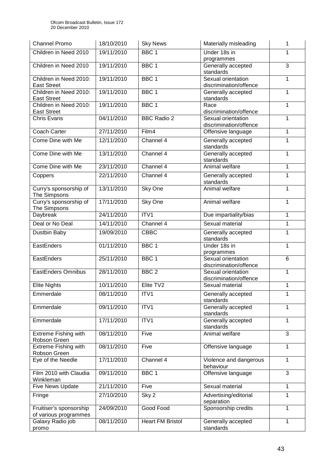| <b>Channel Promo</b>                         | 18/10/2010 | <b>Sky News</b>         | Materially misleading                                      | 1 |
|----------------------------------------------|------------|-------------------------|------------------------------------------------------------|---|
| Children in Need 2010                        | 19/11/2010 | BBC <sub>1</sub>        | Under 18s in<br>programmes                                 | 1 |
| Children in Need 2010                        | 19/11/2010 | BBC <sub>1</sub>        | Generally accepted<br>standards                            | 3 |
| Children in Need 2010:<br><b>East Street</b> | 19/11/2010 | BBC <sub>1</sub>        | Sexual orientation<br>discrimination/offence               | 1 |
| Children in Need 2010:<br><b>East Street</b> | 19/11/2010 | BBC <sub>1</sub>        | Generally accepted<br>standards                            | 1 |
| Children in Need 2010:<br><b>East Street</b> | 19/11/2010 | BBC <sub>1</sub>        | Race<br>discrimination/offence                             | 1 |
| <b>Chris Evans</b>                           | 04/11/2010 | <b>BBC Radio 2</b>      | Sexual orientation<br>discrimination/offence               | 1 |
| Coach Carter                                 | 27/11/2010 | Film4                   | Offensive language                                         | 1 |
| Come Dine with Me                            | 12/11/2010 | Channel 4               | Generally accepted<br>standards                            | 1 |
| Come Dine with Me                            | 13/11/2010 | Channel 4               | Generally accepted<br>standards                            | 1 |
| Come Dine with Me                            | 23/11/2010 | Channel 4               | Animal welfare                                             | 1 |
| Coppers                                      | 22/11/2010 | Channel 4               | Generally accepted<br>standards                            | 1 |
| Curry's sponsorship of<br>The Simpsons       | 13/11/2010 | Sky One                 | Animal welfare                                             | 1 |
| Curry's sponsorship of<br>The Simpsons       | 17/11/2010 | Sky One                 | Animal welfare                                             | 1 |
| Daybreak                                     | 24/11/2010 | ITV1                    | Due impartiality/bias                                      | 1 |
| Deal or No Deal                              | 14/11/2010 | Channel 4               | Sexual material                                            | 1 |
| Dustbin Baby                                 | 19/09/2010 | <b>CBBC</b>             | Generally accepted                                         | 1 |
| EastEnders                                   | 01/11/2010 | BBC <sub>1</sub>        | standards<br>Under 18s in                                  | 1 |
| EastEnders                                   | 25/11/2010 | BBC <sub>1</sub>        | programmes<br>Sexual orientation<br>discrimination/offence | 6 |
| <b>EastEnders Omnibus</b>                    | 28/11/2010 | BBC <sub>2</sub>        | Sexual orientation<br>discrimination/offence               | 1 |
| <b>Elite Nights</b>                          | 10/11/2010 | Elite TV2               | Sexual material                                            | 1 |
| Emmerdale                                    | 08/11/2010 | ITV1                    | Generally accepted<br>standards                            | 1 |
| Emmerdale                                    | 09/11/2010 | ITV1                    | Generally accepted<br>standards                            | 1 |
| Emmerdale                                    | 17/11/2010 | ITV1                    | Generally accepted<br>standards                            | 1 |
| <b>Extreme Fishing with</b><br>Robson Green  | 08/11/2010 | Five                    | Animal welfare                                             | 3 |
| <b>Extreme Fishing with</b><br>Robson Green  | 08/11/2010 | Five                    | Offensive language                                         | 1 |
| Eye of the Needle                            | 17/11/2010 | Channel 4               | Violence and dangerous<br>behaviour                        | 1 |
| Film 2010 with Claudia<br>Winkleman          | 09/11/2010 | BBC <sub>1</sub>        | Offensive language                                         | 3 |
| Five News Update                             | 21/11/2010 | Five                    | Sexual material                                            | 1 |
| Fringe                                       | 27/10/2010 | Sky 2                   | Advertising/editorial<br>separation                        | 1 |
| Fruitiser's sponsorship                      | 24/09/2010 | Good Food               | Sponsorship credits                                        | 1 |
| of various programmes                        | 08/11/2010 |                         |                                                            |   |
| Galaxy Radio job<br>promo                    |            | <b>Heart FM Bristol</b> | Generally accepted<br>standards                            | 1 |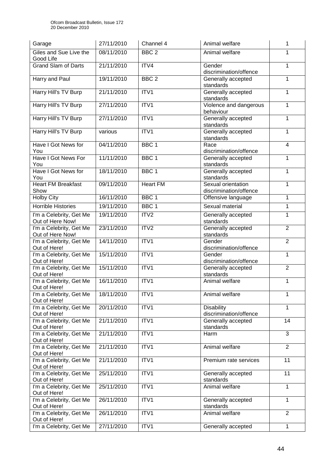| Garage                                      | 27/11/2010 | Channel 4        | Animal welfare                               | 1              |
|---------------------------------------------|------------|------------------|----------------------------------------------|----------------|
| Giles and Sue Live the<br>Good Life         | 08/11/2010 | BBC <sub>2</sub> | Animal welfare                               | 1              |
| <b>Grand Slam of Darts</b>                  | 21/11/2010 | ITV4             | Gender<br>discrimination/offence             | 1              |
| Harry and Paul                              | 19/11/2010 | BBC <sub>2</sub> | Generally accepted<br>standards              | 1              |
| Harry Hill's TV Burp                        | 21/11/2010 | ITV1             | Generally accepted<br>standards              | 1              |
| Harry Hill's TV Burp                        | 27/11/2010 | ITV1             | Violence and dangerous<br>behaviour          | 1              |
| Harry Hill's TV Burp                        | 27/11/2010 | ITV1             | Generally accepted<br>standards              | 1              |
| Harry Hill's TV Burp                        | various    | ITV1             | Generally accepted<br>standards              | 1              |
| Have I Got News for<br>You                  | 04/11/2010 | BBC <sub>1</sub> | Race<br>discrimination/offence               | 4              |
| Have I Got News For<br>You                  | 11/11/2010 | BBC <sub>1</sub> | Generally accepted<br>standards              | 1              |
| Have I Got News for<br>You                  | 18/11/2010 | BBC <sub>1</sub> | Generally accepted<br>standards              | 1              |
| <b>Heart FM Breakfast</b><br>Show           | 09/11/2010 | <b>Heart FM</b>  | Sexual orientation<br>discrimination/offence | 1              |
| <b>Holby City</b>                           | 16/11/2010 | BBC <sub>1</sub> | Offensive language                           | 1              |
| <b>Horrible Histories</b>                   | 19/11/2010 | BBC <sub>1</sub> | Sexual material                              | 1              |
| I'm a Celebrity, Get Me                     | 19/11/2010 | ITV <sub>2</sub> | Generally accepted                           | 1              |
| Out of Here Now!                            |            | ITV2             | standards                                    |                |
| I'm a Celebrity, Get Me<br>Out of Here Now! | 23/11/2010 |                  | Generally accepted<br>standards              | $\overline{2}$ |
| I'm a Celebrity, Get Me<br>Out of Here!     | 14/11/2010 | ITV1             | Gender<br>discrimination/offence             | $\overline{2}$ |
| I'm a Celebrity, Get Me<br>Out of Here!     | 15/11/2010 | ITV1             | Gender<br>discrimination/offence             | 1              |
| I'm a Celebrity, Get Me<br>Out of Here!     | 15/11/2010 | ITV1             | Generally accepted<br>standards              | $\overline{2}$ |
| I'm a Celebrity, Get Me<br>Out of Here!     | 16/11/2010 | ITV1             | Animal welfare                               | 1              |
| I'm a Celebrity, Get Me<br>Out of Here!     | 18/11/2010 | ITV1             | Animal welfare                               | 1              |
| I'm a Celebrity, Get Me<br>Out of Here!     | 20/11/2010 | ITV1             | <b>Disability</b><br>discrimination/offence  | 1              |
| I'm a Celebrity, Get Me<br>Out of Here!     | 21/11/2010 | ITV1             | Generally accepted<br>standards              | 14             |
| I'm a Celebrity, Get Me<br>Out of Here!     | 21/11/2010 | ITV1             | Harm                                         | 3              |
| I'm a Celebrity, Get Me<br>Out of Here!     | 21/11/2010 | ITV1             | Animal welfare                               | $\overline{2}$ |
| I'm a Celebrity, Get Me<br>Out of Here!     | 21/11/2010 | ITV1             | Premium rate services                        | 11             |
| I'm a Celebrity, Get Me<br>Out of Here!     | 25/11/2010 | ITV1             | Generally accepted<br>standards              | 11             |
| I'm a Celebrity, Get Me<br>Out of Here!     | 25/11/2010 | ITV1             | Animal welfare                               | 1              |
| I'm a Celebrity, Get Me<br>Out of Here!     | 26/11/2010 | ITV1             | Generally accepted<br>standards              | 1              |
| I'm a Celebrity, Get Me<br>Out of Here!     | 26/11/2010 | ITV1             | Animal welfare                               | $\overline{2}$ |
| I'm a Celebrity, Get Me                     | 27/11/2010 | ITV1             | Generally accepted                           | $\mathbf{1}$   |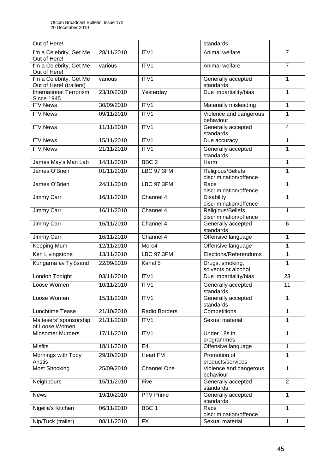| Out of Here!                                        |            |                    | standards                                   |                          |
|-----------------------------------------------------|------------|--------------------|---------------------------------------------|--------------------------|
| I'm a Celebrity, Get Me<br>Out of Here!             | 28/11/2010 | ITV1               | Animal welfare                              | 7                        |
| I'm a Celebrity, Get Me<br>Out of Here!             | various    | ITV1               | Animal welfare                              | $\overline{7}$           |
| I'm a Celebrity, Get Me<br>Out of Here! (trailers)  | various    | ITV1               | Generally accepted<br>standards             | 1                        |
| <b>International Terrorism</b><br><b>Since 1945</b> | 23/10/2010 | Yesterday          | Due impartiality/bias                       | 1                        |
| <b>ITV News</b>                                     | 30/09/2010 | ITV <sub>1</sub>   | Materially misleading                       | 1                        |
| <b>ITV News</b>                                     | 09/11/2010 | ITV1               | Violence and dangerous<br>behaviour         | 1                        |
| <b>ITV News</b>                                     | 11/11/2010 | ITV1               | Generally accepted<br>standards             | $\overline{\mathcal{A}}$ |
| <b>ITV News</b>                                     | 15/11/2010 | ITV1               | Due accuracy                                | 1                        |
| <b>ITV News</b>                                     | 21/11/2010 | ITV1               | Generally accepted<br>standards             | 1                        |
| James May's Man Lab                                 | 14/11/2010 | BBC <sub>2</sub>   | Harm                                        | 1                        |
| James O'Brien                                       | 01/11/2010 | <b>LBC 97.3FM</b>  | Religious/Beliefs<br>discrimination/offence | 1                        |
| James O'Brien                                       | 24/11/2010 | <b>LBC 97.3FM</b>  | Race<br>discrimination/offence              | 1                        |
| Jimmy Carr                                          | 16/11/2010 | Channel 4          | <b>Disability</b><br>discrimination/offence | 1                        |
| <b>Jimmy Carr</b>                                   | 16/11/2010 | Channel 4          | Religious/Beliefs<br>discrimination/offence | 1                        |
| Jimmy Carr                                          | 16/11/2010 | Channel 4          | Generally accepted<br>standards             | 6                        |
| <b>Jimmy Carr</b>                                   | 16/11/2010 | Channel 4          | Offensive language                          | 1                        |
| Keeping Mum                                         | 12/11/2010 | More4              | Offensive language                          | 1                        |
| Ken Livingstone                                     | 13/11/2010 | <b>LBC 97.3FM</b>  | Elections/Referendums                       | 1                        |
| Kungarna av Tylösand                                | 22/09/2010 | Kanal 5            | Drugs, smoking,<br>solvents or alcohol      | 1                        |
| London Tonight                                      | 03/11/2010 | ITV1               | Due impartiality/bias                       | 23                       |
| Loose Women                                         | 10/11/2010 | ITV1               | Generally accepted<br>standards             | 11                       |
| Loose Women                                         | 15/11/2010 | ITV1               | Generally accepted<br>standards             | 1                        |
| Lunchtime Tease                                     | 21/10/2010 | Radio Borders      | Competitions                                | 1                        |
| Maltesers' sponsorship<br>of Loose Women            | 21/11/2010 | ITV1               | Sexual material                             | 1                        |
| <b>Midsomer Murders</b>                             | 17/11/2010 | ITV1               | Under 18s in<br>programmes                  | 1                        |
| <b>Misfits</b>                                      | 18/11/2010 | E <sub>4</sub>     | Offensive language                          | 1                        |
| Mornings with Toby<br>Anstis                        | 29/10/2010 | <b>Heart FM</b>    | Promotion of<br>products/services           | 1                        |
| <b>Most Shocking</b>                                | 25/09/2010 | <b>Channel One</b> | Violence and dangerous<br>behaviour         | 1                        |
| Neighbours                                          | 15/11/2010 | Five               | Generally accepted<br>standards             | $\overline{2}$           |
| <b>News</b>                                         | 19/10/2010 | PTV Prime          | Generally accepted<br>standards             | 1                        |
| Nigella's Kitchen                                   | 06/11/2010 | BBC <sub>1</sub>   | Race<br>discrimination/offence              | 1                        |
| Nip/Tuck (trailer)                                  | 08/11/2010 | <b>FX</b>          | Sexual material                             | 1                        |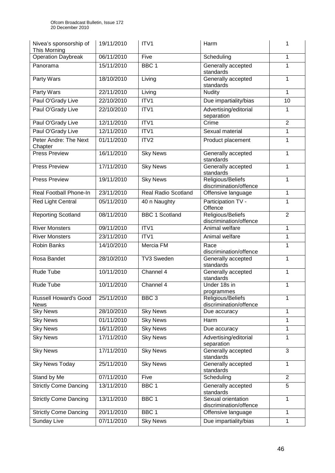| Nivea's sponsorship of<br>This Morning      | 19/11/2010 | ITV1                       | Harm                                         | 1              |
|---------------------------------------------|------------|----------------------------|----------------------------------------------|----------------|
| Operation Daybreak                          | 06/11/2010 | Five                       | Scheduling                                   | 1              |
| Panorama                                    | 15/11/2010 | BBC <sub>1</sub>           | Generally accepted<br>standards              | 1              |
| Party Wars                                  | 18/10/2010 | Living                     | Generally accepted<br>standards              | 1              |
| Party Wars                                  | 22/11/2010 | Living                     | <b>Nudity</b>                                | 1              |
| Paul O'Grady Live                           | 22/10/2010 | ITV1                       | Due impartiality/bias                        | 10             |
| Paul O'Grady Live                           | 22/10/2010 | ITV1                       | Advertising/editorial<br>separation          | 1              |
| Paul O'Grady Live                           | 12/11/2010 | ITV1                       | Crime                                        | $\overline{2}$ |
| Paul O'Grady Live                           | 12/11/2010 | ITV1                       | Sexual material                              | 1              |
| Peter Andre: The Next<br>Chapter            | 01/11/2010 | ITV2                       | Product placement                            | 1              |
| <b>Press Preview</b>                        | 16/11/2010 | <b>Sky News</b>            | Generally accepted<br>standards              | 1              |
| <b>Press Preview</b>                        | 17/11/2010 | <b>Sky News</b>            | Generally accepted<br>standards              | 1              |
| <b>Press Preview</b>                        | 19/11/2010 | <b>Sky News</b>            | Religious/Beliefs<br>discrimination/offence  | 1              |
| Real Football Phone-In                      | 23/11/2010 | <b>Real Radio Scotland</b> | Offensive language                           | 1              |
| <b>Red Light Central</b>                    | 05/11/2010 | 40 n Naughty               | Participation TV -<br>Offence                | 1              |
| <b>Reporting Scotland</b>                   | 08/11/2010 | <b>BBC 1 Scotland</b>      | Religious/Beliefs<br>discrimination/offence  | $\overline{2}$ |
| <b>River Monsters</b>                       | 09/11/2010 | ITV1                       | Animal welfare                               | 1              |
| <b>River Monsters</b>                       | 23/11/2010 | ITV1                       | Animal welfare                               | 1              |
| <b>Robin Banks</b>                          | 14/10/2010 | Mercia FM                  | Race<br>discrimination/offence               | 1              |
| Rosa Bandet                                 | 28/10/2010 | <b>TV3 Sweden</b>          | Generally accepted<br>standards              | 1              |
| Rude Tube                                   | 10/11/2010 | Channel 4                  | Generally accepted<br>standards              | 1              |
| Rude Tube                                   | 10/11/2010 | Channel 4                  | Under 18s in<br>programmes                   | 1              |
| <b>Russell Howard's Good</b><br><b>News</b> | 25/11/2010 | BBC <sub>3</sub>           | Religious/Beliefs<br>discrimination/offence  | 1              |
| <b>Sky News</b>                             | 28/10/2010 | <b>Sky News</b>            | Due accuracy                                 | 1              |
| <b>Sky News</b>                             | 01/11/2010 | <b>Sky News</b>            | Harm                                         | 1              |
| <b>Sky News</b>                             | 16/11/2010 | <b>Sky News</b>            | Due accuracy                                 | 1              |
| <b>Sky News</b>                             | 17/11/2010 | <b>Sky News</b>            | Advertising/editorial<br>separation          | 1              |
| <b>Sky News</b>                             | 17/11/2010 | <b>Sky News</b>            | Generally accepted<br>standards              | 3              |
| <b>Sky News Today</b>                       | 25/11/2010 | <b>Sky News</b>            | Generally accepted<br>standards              | 1              |
| Stand by Me                                 | 07/11/2010 | Five                       | Scheduling                                   | $\overline{2}$ |
| <b>Strictly Come Dancing</b>                | 13/11/2010 | BBC <sub>1</sub>           | Generally accepted<br>standards              | $\overline{5}$ |
| <b>Strictly Come Dancing</b>                | 13/11/2010 | BBC 1                      | Sexual orientation<br>discrimination/offence | 1              |
| <b>Strictly Come Dancing</b>                | 20/11/2010 | BBC 1                      | Offensive language                           | 1              |
| Sunday Live                                 | 07/11/2010 | <b>Sky News</b>            | Due impartiality/bias                        | 1              |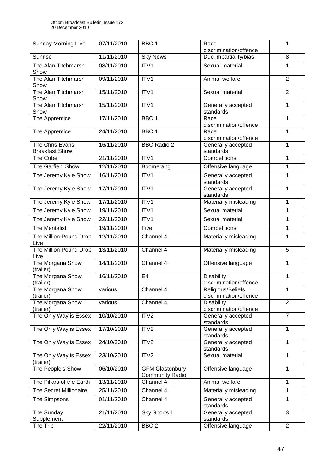| <b>Sunday Morning Live</b>               | 07/11/2010 | BBC <sub>1</sub>                                 | Race<br>discrimination/offence                     | 1              |
|------------------------------------------|------------|--------------------------------------------------|----------------------------------------------------|----------------|
| Sunrise                                  | 11/11/2010 | <b>Sky News</b>                                  | Due impartiality/bias                              | 8              |
| The Alan Titchmarsh<br>Show              | 08/11/2010 | ITV1                                             | Sexual material                                    | 1              |
| The Alan Titchmarsh<br>Show              | 09/11/2010 | ITV1                                             | Animal welfare                                     | $\overline{2}$ |
| The Alan Titchmarsh<br>Show              | 15/11/2010 | ITV1                                             | Sexual material                                    | $\overline{2}$ |
| The Alan Titchmarsh<br>Show              | 15/11/2010 | ITV1                                             | Generally accepted<br>standards                    | 1              |
| The Apprentice                           | 17/11/2010 | BBC <sub>1</sub>                                 | Race<br>discrimination/offence                     | 1              |
| The Apprentice                           | 24/11/2010 | BBC <sub>1</sub>                                 | Race<br>discrimination/offence                     | 1              |
| The Chris Evans<br><b>Breakfast Show</b> | 16/11/2010 | <b>BBC Radio 2</b>                               | Generally accepted<br>standards                    | 1              |
| The Cube                                 | 21/11/2010 | ITV1                                             | Competitions                                       | 1              |
| The Garfield Show                        | 12/11/2010 | Boomerang                                        | Offensive language                                 | 1              |
| The Jeremy Kyle Show                     | 16/11/2010 | ITV1                                             | Generally accepted<br>standards                    | 1              |
| The Jeremy Kyle Show                     | 17/11/2010 | ITV1                                             | Generally accepted<br>standards                    | 1              |
| The Jeremy Kyle Show                     | 17/11/2010 | ITV1                                             | Materially misleading                              | 1              |
| The Jeremy Kyle Show                     | 19/11/2010 | ITV1                                             | Sexual material                                    | 1              |
| The Jeremy Kyle Show                     | 22/11/2010 | ITV1                                             | Sexual material                                    | 1              |
| The Mentalist                            | 19/11/2010 | Five                                             | Competitions                                       | 1              |
| The Million Pound Drop<br>Live           | 12/11/2010 | Channel 4                                        | Materially misleading                              | 1              |
| The Million Pound Drop<br>Live           | 13/11/2010 | Channel 4                                        | Materially misleading                              | 5              |
| The Morgana Show<br>(trailer)            | 14/11/2010 | Channel 4                                        | Offensive language                                 | 1              |
| The Morgana Show<br>(trailer)            | 16/11/2010 | E <sub>4</sub>                                   | <b>Disability</b><br>discrimination/offence        | 1              |
| The Morgana Show<br>(trailer)            | various    | Channel 4                                        | <b>Religious/Beliefs</b><br>discrimination/offence | 1              |
| The Morgana Show<br>(trailer)            | various    | Channel 4                                        | <b>Disability</b><br>discrimination/offence        | $\overline{2}$ |
| The Only Way is Essex                    | 10/10/2010 | ITV2                                             | Generally accepted<br>standards                    | $\overline{7}$ |
| The Only Way is Essex                    | 17/10/2010 | ITV <sub>2</sub>                                 | Generally accepted<br>standards                    | 1              |
| The Only Way is Essex                    | 24/10/2010 | ITV <sub>2</sub>                                 | Generally accepted<br>standards                    | 1              |
| The Only Way is Essex<br>(trailer)       | 23/10/2010 | ITV2                                             | Sexual material                                    | 1              |
| The People's Show                        | 06/10/2010 | <b>GFM Glastonbury</b><br><b>Community Radio</b> | Offensive language                                 | 1              |
| The Pillars of the Earth                 | 13/11/2010 | Channel 4                                        | Animal welfare                                     | 1              |
| The Secret Millionaire                   | 25/11/2010 | Channel 4                                        | Materially misleading                              | 1              |
| The Simpsons                             | 01/11/2010 | Channel 4                                        | Generally accepted<br>standards                    | 1              |
| The Sunday                               | 21/11/2010 | Sky Sports 1                                     | Generally accepted                                 | 3              |
| Supplement<br>The Trip                   | 22/11/2010 | BBC <sub>2</sub>                                 | standards<br>Offensive language                    | $\overline{2}$ |
|                                          |            |                                                  |                                                    |                |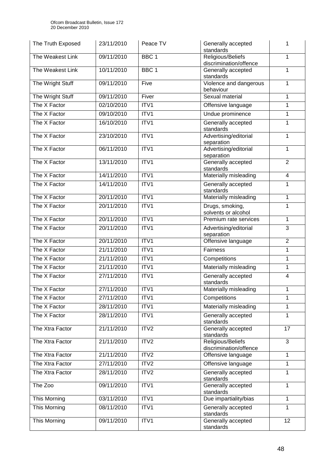| The Truth Exposed   | 23/11/2010 | Peace TV         | Generally accepted<br>standards             | 1              |
|---------------------|------------|------------------|---------------------------------------------|----------------|
| The Weakest Link    | 09/11/2010 | BBC <sub>1</sub> | Religious/Beliefs<br>discrimination/offence | 1              |
| The Weakest Link    | 10/11/2010 | BBC <sub>1</sub> | Generally accepted<br>standards             | 1              |
| The Wright Stuff    | 09/11/2010 | Five             | Violence and dangerous<br>behaviour         | 1              |
| The Wright Stuff    | 09/11/2010 | Fiver            | Sexual material                             | 1              |
| The X Factor        | 02/10/2010 | ITV <sub>1</sub> | Offensive language                          | 1              |
| The X Factor        | 09/10/2010 | ITV1             | Undue prominence                            | 1              |
| The X Factor        | 16/10/2010 | ITV1             | Generally accepted<br>standards             | 1              |
| The X Factor        | 23/10/2010 | ITV1             | Advertising/editorial<br>separation         | 1              |
| The X Factor        | 06/11/2010 | ITV1             | Advertising/editorial<br>separation         | 1              |
| The X Factor        | 13/11/2010 | ITV1             | Generally accepted<br>standards             | $\overline{2}$ |
| The X Factor        | 14/11/2010 | ITV1             | Materially misleading                       | 4              |
| The X Factor        | 14/11/2010 | ITV1             | Generally accepted<br>standards             | 1              |
| The X Factor        | 20/11/2010 | ITV1             | Materially misleading                       | 1              |
| The X Factor        | 20/11/2010 | ITV1             | Drugs, smoking,<br>solvents or alcohol      | 1              |
| The X Factor        | 20/11/2010 | ITV1             | Premium rate services                       | 1              |
| The X Factor        | 20/11/2010 | ITV1             | Advertising/editorial<br>separation         | 3              |
| The X Factor        | 20/11/2010 | ITV1             | Offensive language                          | $\overline{2}$ |
| The X Factor        | 21/11/2010 | ITV1             | Fairness                                    | 1              |
| The X Factor        | 21/11/2010 | ITV1             | Competitions                                | 1              |
| The X Factor        | 21/11/2010 | ITV1             | Materially misleading                       | 1              |
| The X Factor        | 27/11/2010 | ITV1             | Generally accepted<br>standards             | $\overline{4}$ |
| The X Factor        | 27/11/2010 | ITV <sub>1</sub> | Materially misleading                       | 1              |
| The X Factor        | 27/11/2010 | ITV1             | Competitions                                | 1              |
| The X Factor        | 28/11/2010 | ITV1             | Materially misleading                       | 1              |
| The X Factor        | 28/11/2010 | ITV1             | Generally accepted<br>standards             | 1              |
| The Xtra Factor     | 21/11/2010 | ITV2             | Generally accepted<br>standards             | 17             |
| The Xtra Factor     | 21/11/2010 | ITV2             | Religious/Beliefs<br>discrimination/offence | 3              |
| The Xtra Factor     | 21/11/2010 | ITV2             | Offensive language                          | 1              |
| The Xtra Factor     | 27/11/2010 | ITV2             | Offensive language                          | 1              |
| The Xtra Factor     | 28/11/2010 | ITV2             | Generally accepted<br>standards             | 1              |
| The Zoo             | 09/11/2010 | ITV1             | Generally accepted<br>standards             | 1              |
| This Morning        | 03/11/2010 | ITV1             | Due impartiality/bias                       | 1              |
| <b>This Morning</b> | 08/11/2010 | ITV1             | Generally accepted<br>standards             | 1              |
| This Morning        | 09/11/2010 | ITV1             | Generally accepted<br>standards             | 12             |